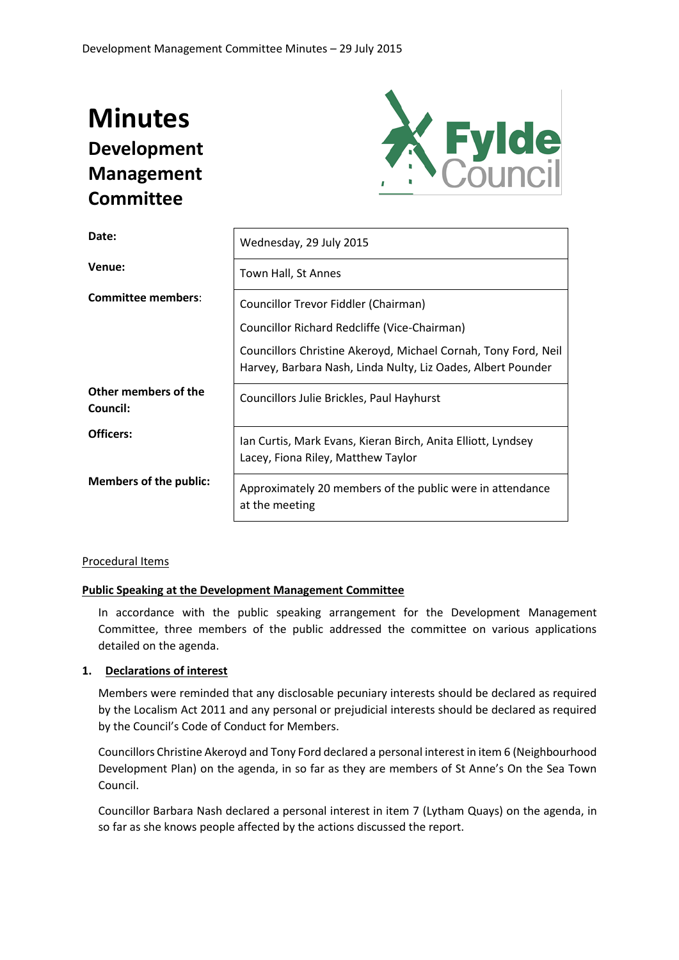# **Minutes Development Management Committee**



| Date:                            | Wednesday, 29 July 2015                                                                                                        |
|----------------------------------|--------------------------------------------------------------------------------------------------------------------------------|
| Venue:                           | Town Hall, St Annes                                                                                                            |
| <b>Committee members:</b>        | Councillor Trevor Fiddler (Chairman)                                                                                           |
|                                  | Councillor Richard Redcliffe (Vice-Chairman)                                                                                   |
|                                  | Councillors Christine Akeroyd, Michael Cornah, Tony Ford, Neil<br>Harvey, Barbara Nash, Linda Nulty, Liz Oades, Albert Pounder |
| Other members of the<br>Council: | Councillors Julie Brickles, Paul Hayhurst                                                                                      |
| Officers:                        | Ian Curtis, Mark Evans, Kieran Birch, Anita Elliott, Lyndsey<br>Lacey, Fiona Riley, Matthew Taylor                             |
| <b>Members of the public:</b>    | Approximately 20 members of the public were in attendance<br>at the meeting                                                    |

#### Procedural Items

#### **Public Speaking at the Development Management Committee**

In accordance with the public speaking arrangement for the Development Management Committee, three members of the public addressed the committee on various applications detailed on the agenda.

#### **1. Declarations of interest**

Members were reminded that any disclosable pecuniary interests should be declared as required by the Localism Act 2011 and any personal or prejudicial interests should be declared as required by the Council's Code of Conduct for Members.

Councillors Christine Akeroyd and Tony Ford declared a personal interest in item 6 (Neighbourhood Development Plan) on the agenda, in so far as they are members of St Anne's On the Sea Town Council.

Councillor Barbara Nash declared a personal interest in item 7 (Lytham Quays) on the agenda, in so far as she knows people affected by the actions discussed the report.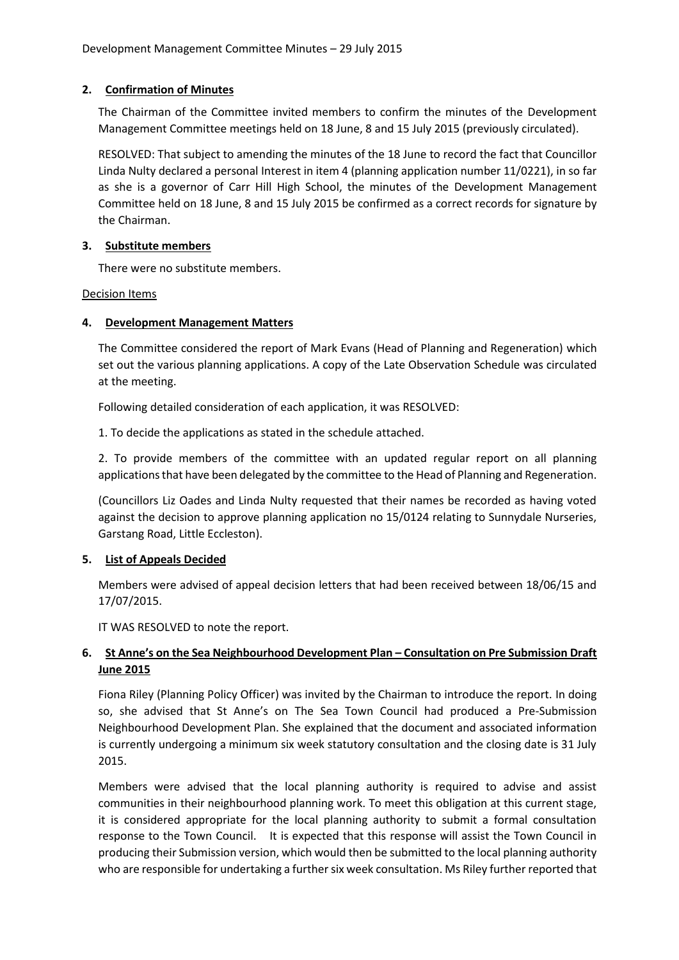## **2. Confirmation of Minutes**

The Chairman of the Committee invited members to confirm the minutes of the Development Management Committee meetings held on 18 June, 8 and 15 July 2015 (previously circulated).

RESOLVED: That subject to amending the minutes of the 18 June to record the fact that Councillor Linda Nulty declared a personal Interest in item 4 (planning application number 11/0221), in so far as she is a governor of Carr Hill High School, the minutes of the Development Management Committee held on 18 June, 8 and 15 July 2015 be confirmed as a correct records for signature by the Chairman.

## **3. Substitute members**

There were no substitute members.

Decision Items

## **4. Development Management Matters**

The Committee considered the report of Mark Evans (Head of Planning and Regeneration) which set out the various planning applications. A copy of the Late Observation Schedule was circulated at the meeting.

Following detailed consideration of each application, it was RESOLVED:

1. To decide the applications as stated in the schedule attached.

2. To provide members of the committee with an updated regular report on all planning applications that have been delegated by the committee to the Head of Planning and Regeneration.

(Councillors Liz Oades and Linda Nulty requested that their names be recorded as having voted against the decision to approve planning application no 15/0124 relating to Sunnydale Nurseries, Garstang Road, Little Eccleston).

## **5. List of Appeals Decided**

Members were advised of appeal decision letters that had been received between 18/06/15 and 17/07/2015.

IT WAS RESOLVED to note the report.

## **6. St Anne's on the Sea Neighbourhood Development Plan – Consultation on Pre Submission Draft June 2015**

Fiona Riley (Planning Policy Officer) was invited by the Chairman to introduce the report. In doing so, she advised that St Anne's on The Sea Town Council had produced a Pre-Submission Neighbourhood Development Plan. She explained that the document and associated information is currently undergoing a minimum six week statutory consultation and the closing date is 31 July 2015.

Members were advised that the local planning authority is required to advise and assist communities in their neighbourhood planning work. To meet this obligation at this current stage, it is considered appropriate for the local planning authority to submit a formal consultation response to the Town Council. It is expected that this response will assist the Town Council in producing their Submission version, which would then be submitted to the local planning authority who are responsible for undertaking a further six week consultation. Ms Riley further reported that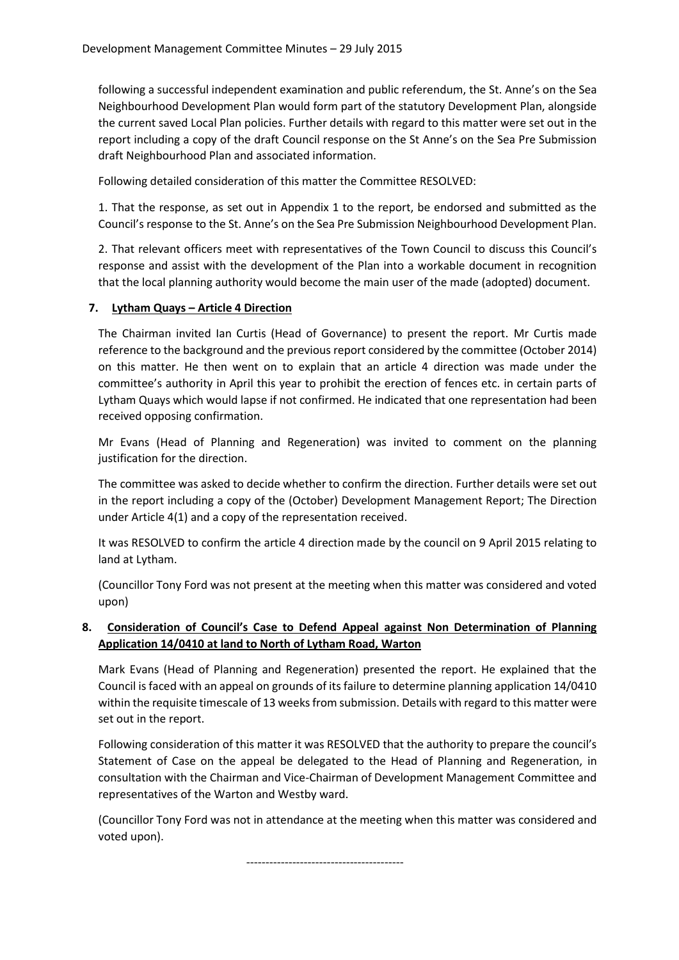following a successful independent examination and public referendum, the St. Anne's on the Sea Neighbourhood Development Plan would form part of the statutory Development Plan, alongside the current saved Local Plan policies. Further details with regard to this matter were set out in the report including a copy of the draft Council response on the St Anne's on the Sea Pre Submission draft Neighbourhood Plan and associated information.

Following detailed consideration of this matter the Committee RESOLVED:

1. That the response, as set out in Appendix 1 to the report, be endorsed and submitted as the Council's response to the St. Anne's on the Sea Pre Submission Neighbourhood Development Plan.

2. That relevant officers meet with representatives of the Town Council to discuss this Council's response and assist with the development of the Plan into a workable document in recognition that the local planning authority would become the main user of the made (adopted) document.

## **7. Lytham Quays – Article 4 Direction**

The Chairman invited Ian Curtis (Head of Governance) to present the report. Mr Curtis made reference to the background and the previous report considered by the committee (October 2014) on this matter. He then went on to explain that an article 4 direction was made under the committee's authority in April this year to prohibit the erection of fences etc. in certain parts of Lytham Quays which would lapse if not confirmed. He indicated that one representation had been received opposing confirmation.

Mr Evans (Head of Planning and Regeneration) was invited to comment on the planning justification for the direction.

The committee was asked to decide whether to confirm the direction. Further details were set out in the report including a copy of the (October) Development Management Report; The Direction under Article 4(1) and a copy of the representation received.

It was RESOLVED to confirm the article 4 direction made by the council on 9 April 2015 relating to land at Lytham.

(Councillor Tony Ford was not present at the meeting when this matter was considered and voted upon)

## **8. Consideration of Council's Case to Defend Appeal against Non Determination of Planning Application 14/0410 at land to North of Lytham Road, Warton**

Mark Evans (Head of Planning and Regeneration) presented the report. He explained that the Council is faced with an appeal on grounds of its failure to determine planning application 14/0410 within the requisite timescale of 13 weeks from submission. Details with regard to this matter were set out in the report.

Following consideration of this matter it was RESOLVED that the authority to prepare the council's Statement of Case on the appeal be delegated to the Head of Planning and Regeneration, in consultation with the Chairman and Vice-Chairman of Development Management Committee and representatives of the Warton and Westby ward.

(Councillor Tony Ford was not in attendance at the meeting when this matter was considered and voted upon).

-----------------------------------------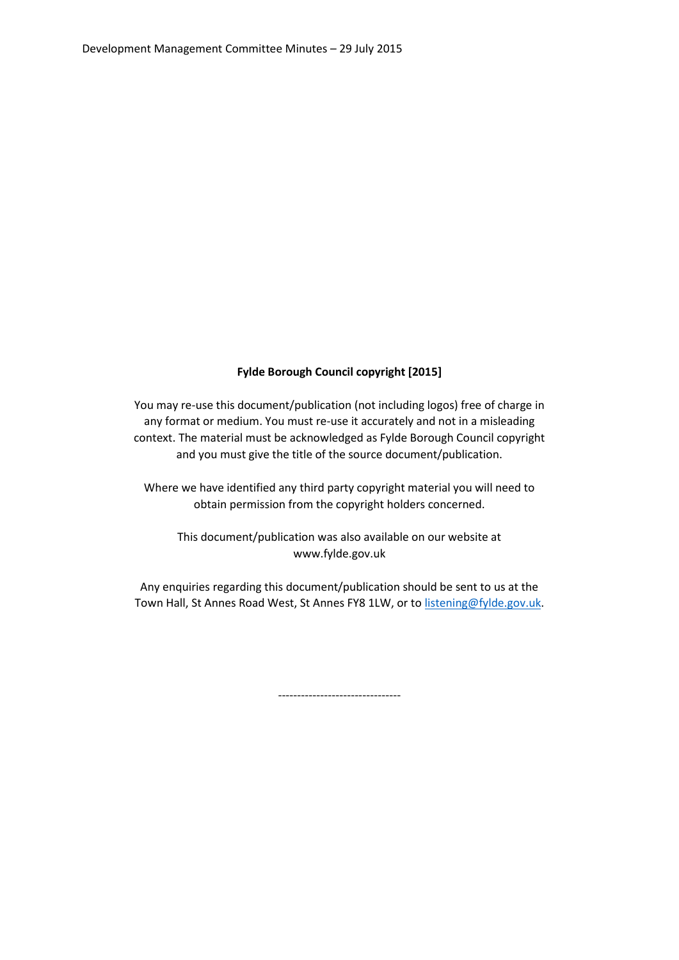## **Fylde Borough Council copyright [2015]**

You may re-use this document/publication (not including logos) free of charge in any format or medium. You must re-use it accurately and not in a misleading context. The material must be acknowledged as Fylde Borough Council copyright and you must give the title of the source document/publication.

Where we have identified any third party copyright material you will need to obtain permission from the copyright holders concerned.

This document/publication was also available on our website at www.fylde.gov.uk

Any enquiries regarding this document/publication should be sent to us at the Town Hall, St Annes Road West, St Annes FY8 1LW, or to [listening@fylde.gov.uk.](mailto:listening@fylde.gov.uk)

--------------------------------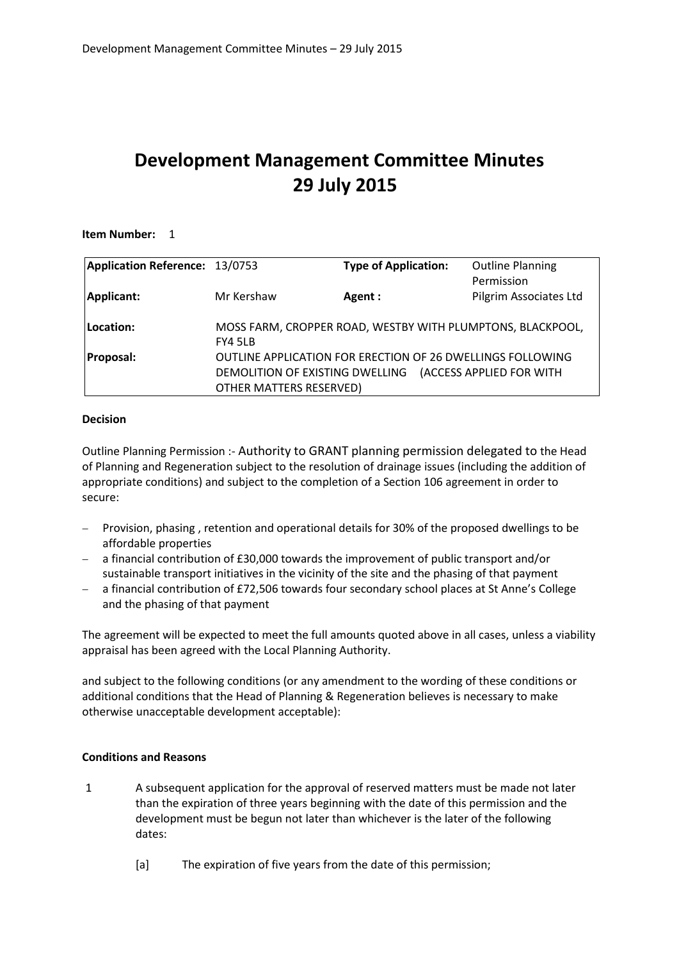## **Development Management Committee Minutes 29 July 2015**

#### **Item Number:** 1

| Application Reference: 13/0753 |                                                            | <b>Type of Application:</b>                                       | <b>Outline Planning</b> |
|--------------------------------|------------------------------------------------------------|-------------------------------------------------------------------|-------------------------|
|                                |                                                            |                                                                   | Permission              |
| Applicant:                     | Mr Kershaw                                                 | Agent:                                                            | Pilgrim Associates Ltd  |
|                                |                                                            |                                                                   |                         |
| Location:                      | MOSS FARM, CROPPER ROAD, WESTBY WITH PLUMPTONS, BLACKPOOL, |                                                                   |                         |
|                                | FY4 5LB                                                    |                                                                   |                         |
| Proposal:                      |                                                            | <b>OUTLINE APPLICATION FOR ERECTION OF 26 DWELLINGS FOLLOWING</b> |                         |
|                                |                                                            | DEMOLITION OF EXISTING DWELLING (ACCESS APPLIED FOR WITH          |                         |
|                                | <b>OTHER MATTERS RESERVED)</b>                             |                                                                   |                         |

#### **Decision**

Outline Planning Permission :- Authority to GRANT planning permission delegated to the Head of Planning and Regeneration subject to the resolution of drainage issues (including the addition of appropriate conditions) and subject to the completion of a Section 106 agreement in order to secure:

- Provision, phasing, retention and operational details for 30% of the proposed dwellings to be affordable properties
- a financial contribution of £30,000 towards the improvement of public transport and/or sustainable transport initiatives in the vicinity of the site and the phasing of that payment
- a financial contribution of £72,506 towards four secondary school places at St Anne's College and the phasing of that payment

The agreement will be expected to meet the full amounts quoted above in all cases, unless a viability appraisal has been agreed with the Local Planning Authority.

and subject to the following conditions (or any amendment to the wording of these conditions or additional conditions that the Head of Planning & Regeneration believes is necessary to make otherwise unacceptable development acceptable):

#### **Conditions and Reasons**

- 1 A subsequent application for the approval of reserved matters must be made not later than the expiration of three years beginning with the date of this permission and the development must be begun not later than whichever is the later of the following dates:
	- [a] The expiration of five years from the date of this permission;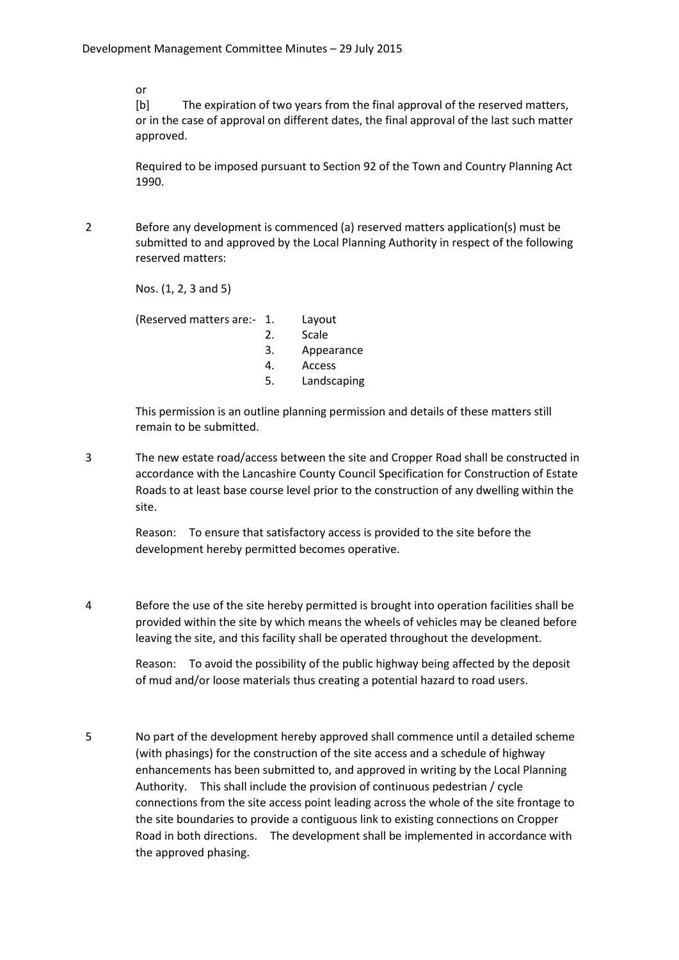or

[b] The expiration of two years from the final approval of the reserved matters, or in the case of approval on different dates, the final approval of the last such matter approved.

Required to be imposed pursuant to Section 92 of the Town and Country Planning Act 1990.

2 Before any development is commenced (a) reserved matters application(s) must be submitted to and approved by the Local Planning Authority in respect of the following reserved matters:

Nos. (1, 2, 3 and 5)

(Reserved matters are:- 1. Layout

- 2. Scale
- 3. Appearance
- 4. Access
- 5. Landscaping

This permission is an outline planning permission and details of these matters still remain to be submitted.

3 The new estate road/access between the site and Cropper Road shall be constructed in accordance with the Lancashire County Council Specification for Construction of Estate Roads to at least base course level prior to the construction of any dwelling within the site.

> Reason: To ensure that satisfactory access is provided to the site before the development hereby permitted becomes operative.

4 Before the use of the site hereby permitted is brought into operation facilities shall be provided within the site by which means the wheels of vehicles may be cleaned before leaving the site, and this facility shall be operated throughout the development.

> Reason: To avoid the possibility of the public highway being affected by the deposit of mud and/or loose materials thus creating a potential hazard to road users.

5 No part of the development hereby approved shall commence until a detailed scheme (with phasings) for the construction of the site access and a schedule of highway enhancements has been submitted to, and approved in writing by the Local Planning Authority. This shall include the provision of continuous pedestrian / cycle connections from the site access point leading across the whole of the site frontage to the site boundaries to provide a contiguous link to existing connections on Cropper Road in both directions. The development shall be implemented in accordance with the approved phasing.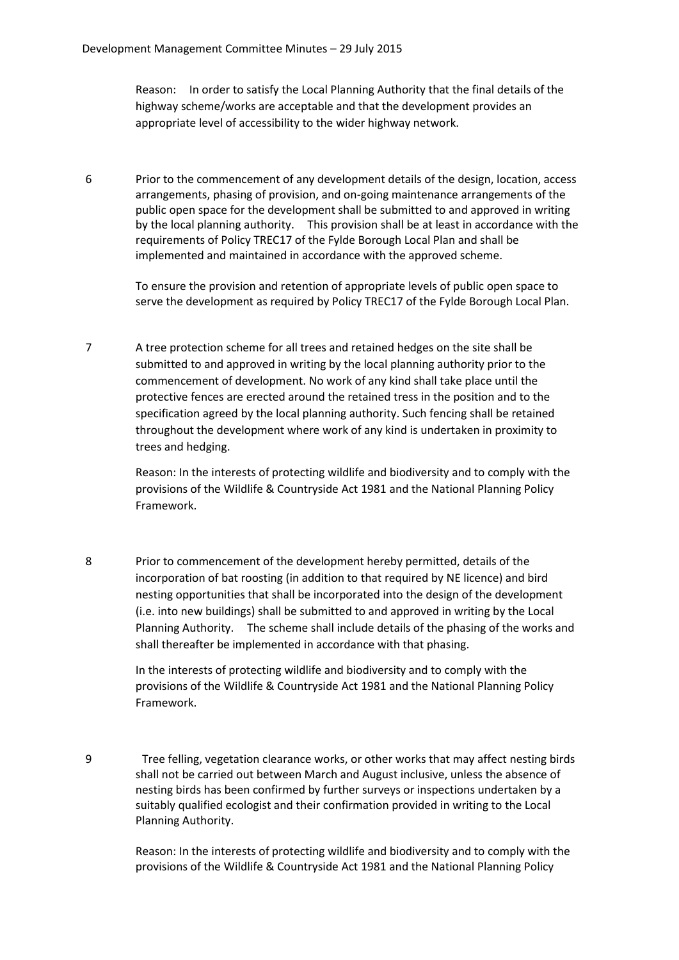Reason: In order to satisfy the Local Planning Authority that the final details of the highway scheme/works are acceptable and that the development provides an appropriate level of accessibility to the wider highway network.

6 Prior to the commencement of any development details of the design, location, access arrangements, phasing of provision, and on-going maintenance arrangements of the public open space for the development shall be submitted to and approved in writing by the local planning authority. This provision shall be at least in accordance with the requirements of Policy TREC17 of the Fylde Borough Local Plan and shall be implemented and maintained in accordance with the approved scheme.

To ensure the provision and retention of appropriate levels of public open space to serve the development as required by Policy TREC17 of the Fylde Borough Local Plan.

7 A tree protection scheme for all trees and retained hedges on the site shall be submitted to and approved in writing by the local planning authority prior to the commencement of development. No work of any kind shall take place until the protective fences are erected around the retained tress in the position and to the specification agreed by the local planning authority. Such fencing shall be retained throughout the development where work of any kind is undertaken in proximity to trees and hedging.

> Reason: In the interests of protecting wildlife and biodiversity and to comply with the provisions of the Wildlife & Countryside Act 1981 and the National Planning Policy Framework.

8 Prior to commencement of the development hereby permitted, details of the incorporation of bat roosting (in addition to that required by NE licence) and bird nesting opportunities that shall be incorporated into the design of the development (i.e. into new buildings) shall be submitted to and approved in writing by the Local Planning Authority. The scheme shall include details of the phasing of the works and shall thereafter be implemented in accordance with that phasing.

> In the interests of protecting wildlife and biodiversity and to comply with the provisions of the Wildlife & Countryside Act 1981 and the National Planning Policy Framework.

9 Tree felling, vegetation clearance works, or other works that may affect nesting birds shall not be carried out between March and August inclusive, unless the absence of nesting birds has been confirmed by further surveys or inspections undertaken by a suitably qualified ecologist and their confirmation provided in writing to the Local Planning Authority.

> Reason: In the interests of protecting wildlife and biodiversity and to comply with the provisions of the Wildlife & Countryside Act 1981 and the National Planning Policy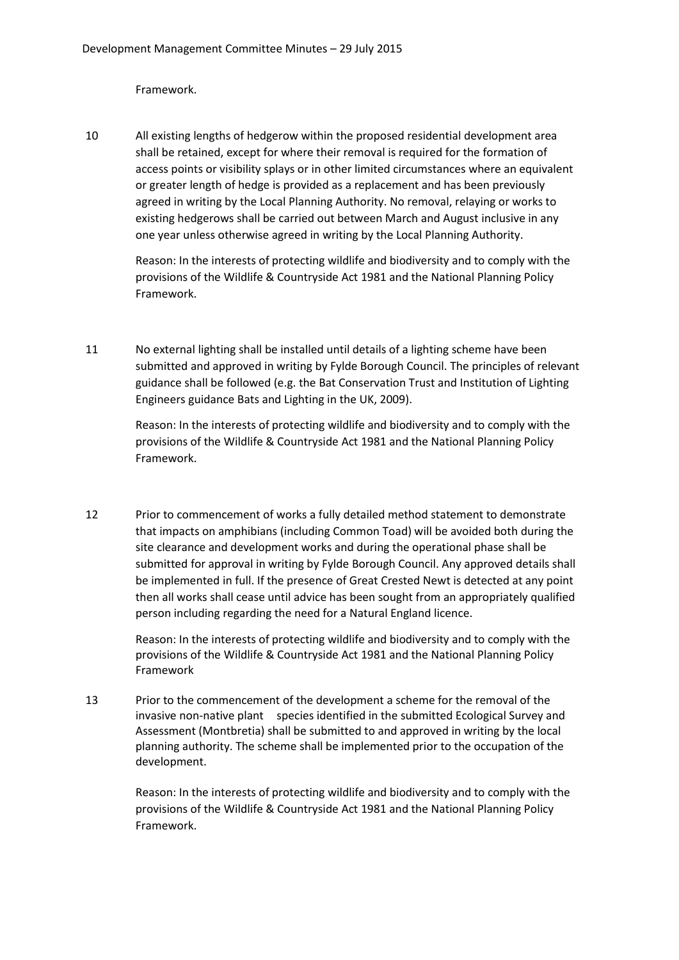Framework.

10 All existing lengths of hedgerow within the proposed residential development area shall be retained, except for where their removal is required for the formation of access points or visibility splays or in other limited circumstances where an equivalent or greater length of hedge is provided as a replacement and has been previously agreed in writing by the Local Planning Authority. No removal, relaying or works to existing hedgerows shall be carried out between March and August inclusive in any one year unless otherwise agreed in writing by the Local Planning Authority.

> Reason: In the interests of protecting wildlife and biodiversity and to comply with the provisions of the Wildlife & Countryside Act 1981 and the National Planning Policy Framework.

11 No external lighting shall be installed until details of a lighting scheme have been submitted and approved in writing by Fylde Borough Council. The principles of relevant guidance shall be followed (e.g. the Bat Conservation Trust and Institution of Lighting Engineers guidance Bats and Lighting in the UK, 2009).

Reason: In the interests of protecting wildlife and biodiversity and to comply with the provisions of the Wildlife & Countryside Act 1981 and the National Planning Policy Framework.

12 Prior to commencement of works a fully detailed method statement to demonstrate that impacts on amphibians (including Common Toad) will be avoided both during the site clearance and development works and during the operational phase shall be submitted for approval in writing by Fylde Borough Council. Any approved details shall be implemented in full. If the presence of Great Crested Newt is detected at any point then all works shall cease until advice has been sought from an appropriately qualified person including regarding the need for a Natural England licence.

> Reason: In the interests of protecting wildlife and biodiversity and to comply with the provisions of the Wildlife & Countryside Act 1981 and the National Planning Policy Framework

13 Prior to the commencement of the development a scheme for the removal of the invasive non-native plant species identified in the submitted Ecological Survey and Assessment (Montbretia) shall be submitted to and approved in writing by the local planning authority. The scheme shall be implemented prior to the occupation of the development.

> Reason: In the interests of protecting wildlife and biodiversity and to comply with the provisions of the Wildlife & Countryside Act 1981 and the National Planning Policy Framework.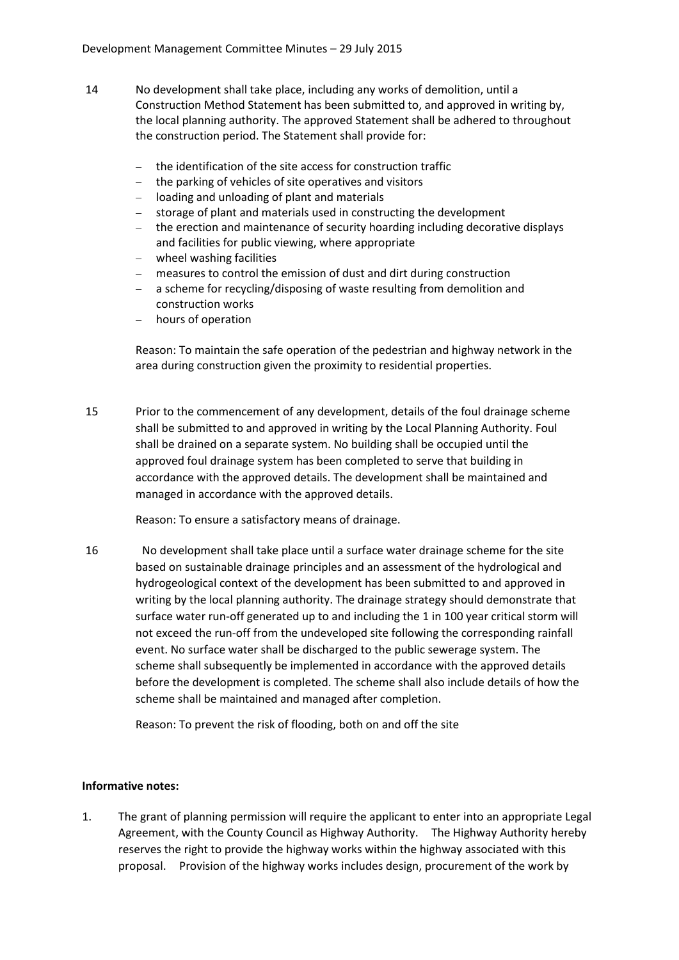- 14 No development shall take place, including any works of demolition, until a Construction Method Statement has been submitted to, and approved in writing by, the local planning authority. The approved Statement shall be adhered to throughout the construction period. The Statement shall provide for:
	- the identification of the site access for construction traffic
	- the parking of vehicles of site operatives and visitors
	- loading and unloading of plant and materials
	- storage of plant and materials used in constructing the development
	- the erection and maintenance of security hoarding including decorative displays and facilities for public viewing, where appropriate
	- wheel washing facilities
	- measures to control the emission of dust and dirt during construction
	- a scheme for recycling/disposing of waste resulting from demolition and construction works
	- hours of operation

Reason: To maintain the safe operation of the pedestrian and highway network in the area during construction given the proximity to residential properties.

15 Prior to the commencement of any development, details of the foul drainage scheme shall be submitted to and approved in writing by the Local Planning Authority. Foul shall be drained on a separate system. No building shall be occupied until the approved foul drainage system has been completed to serve that building in accordance with the approved details. The development shall be maintained and managed in accordance with the approved details.

Reason: To ensure a satisfactory means of drainage.

16 No development shall take place until a surface water drainage scheme for the site based on sustainable drainage principles and an assessment of the hydrological and hydrogeological context of the development has been submitted to and approved in writing by the local planning authority. The drainage strategy should demonstrate that surface water run-off generated up to and including the 1 in 100 year critical storm will not exceed the run-off from the undeveloped site following the corresponding rainfall event. No surface water shall be discharged to the public sewerage system. The scheme shall subsequently be implemented in accordance with the approved details before the development is completed. The scheme shall also include details of how the scheme shall be maintained and managed after completion.

Reason: To prevent the risk of flooding, both on and off the site

#### **Informative notes:**

1. The grant of planning permission will require the applicant to enter into an appropriate Legal Agreement, with the County Council as Highway Authority. The Highway Authority hereby reserves the right to provide the highway works within the highway associated with this proposal. Provision of the highway works includes design, procurement of the work by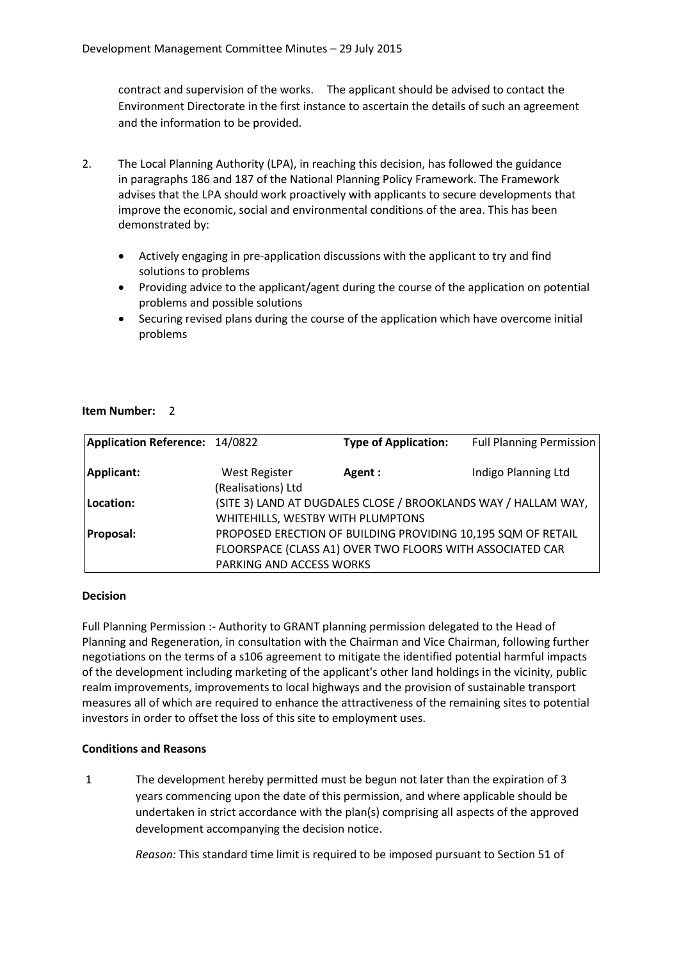contract and supervision of the works. The applicant should be advised to contact the Environment Directorate in the first instance to ascertain the details of such an agreement and the information to be provided.

- 2. The Local Planning Authority (LPA), in reaching this decision, has followed the guidance in paragraphs 186 and 187 of the National Planning Policy Framework. The Framework advises that the LPA should work proactively with applicants to secure developments that improve the economic, social and environmental conditions of the area. This has been demonstrated by:
	- Actively engaging in pre-application discussions with the applicant to try and find solutions to problems
	- Providing advice to the applicant/agent during the course of the application on potential problems and possible solutions
	- Securing revised plans during the course of the application which have overcome initial problems

#### **Item Number:** 2

| Application Reference: 14/0822 |                                            | <b>Type of Application:</b>                                                                                               | <b>Full Planning Permission</b> |
|--------------------------------|--------------------------------------------|---------------------------------------------------------------------------------------------------------------------------|---------------------------------|
| Applicant:                     | <b>West Register</b><br>(Realisations) Ltd | Agent:                                                                                                                    | Indigo Planning Ltd             |
| Location:                      | WHITEHILLS, WESTBY WITH PLUMPTONS          | (SITE 3) LAND AT DUGDALES CLOSE / BROOKLANDS WAY / HALLAM WAY,                                                            |                                 |
| <b>Proposal:</b>               |                                            | PROPOSED ERECTION OF BUILDING PROVIDING 10,195 SQM OF RETAIL<br>FLOORSPACE (CLASS A1) OVER TWO FLOORS WITH ASSOCIATED CAR |                                 |
|                                | PARKING AND ACCESS WORKS                   |                                                                                                                           |                                 |

#### **Decision**

Full Planning Permission :- Authority to GRANT planning permission delegated to the Head of Planning and Regeneration, in consultation with the Chairman and Vice Chairman, following further negotiations on the terms of a s106 agreement to mitigate the identified potential harmful impacts of the development including marketing of the applicant's other land holdings in the vicinity, public realm improvements, improvements to local highways and the provision of sustainable transport measures all of which are required to enhance the attractiveness of the remaining sites to potential investors in order to offset the loss of this site to employment uses.

#### **Conditions and Reasons**

1 The development hereby permitted must be begun not later than the expiration of 3 years commencing upon the date of this permission, and where applicable should be undertaken in strict accordance with the plan(s) comprising all aspects of the approved development accompanying the decision notice.

*Reason:* This standard time limit is required to be imposed pursuant to Section 51 of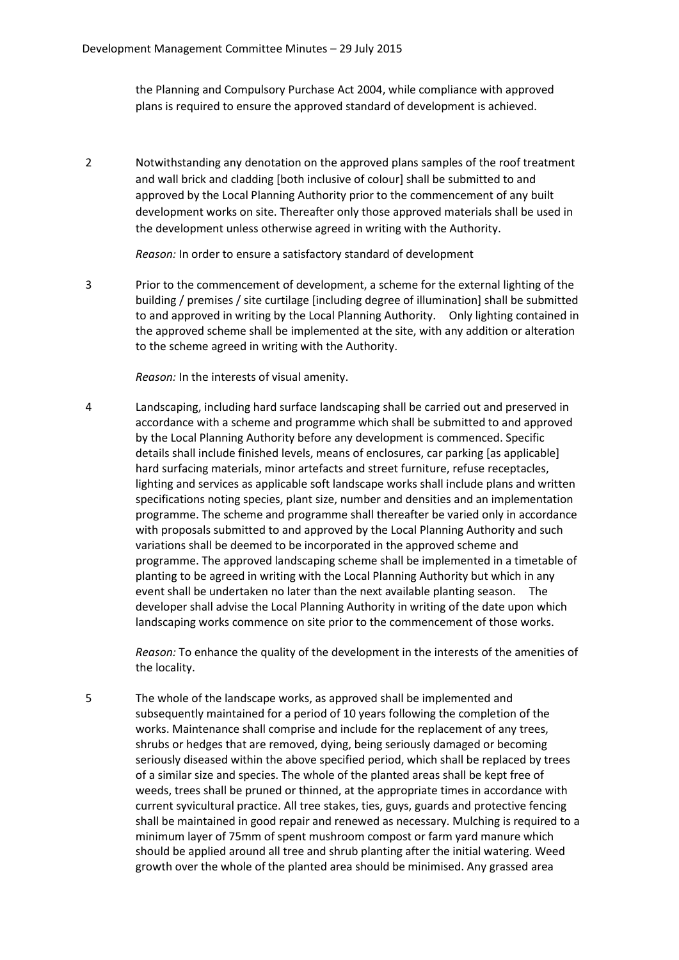the Planning and Compulsory Purchase Act 2004, while compliance with approved plans is required to ensure the approved standard of development is achieved.

2 Notwithstanding any denotation on the approved plans samples of the roof treatment and wall brick and cladding [both inclusive of colour] shall be submitted to and approved by the Local Planning Authority prior to the commencement of any built development works on site. Thereafter only those approved materials shall be used in the development unless otherwise agreed in writing with the Authority.

*Reason:* In order to ensure a satisfactory standard of development

3 Prior to the commencement of development, a scheme for the external lighting of the building / premises / site curtilage [including degree of illumination] shall be submitted to and approved in writing by the Local Planning Authority. Only lighting contained in the approved scheme shall be implemented at the site, with any addition or alteration to the scheme agreed in writing with the Authority.

*Reason:* In the interests of visual amenity.

4 Landscaping, including hard surface landscaping shall be carried out and preserved in accordance with a scheme and programme which shall be submitted to and approved by the Local Planning Authority before any development is commenced. Specific details shall include finished levels, means of enclosures, car parking [as applicable] hard surfacing materials, minor artefacts and street furniture, refuse receptacles, lighting and services as applicable soft landscape works shall include plans and written specifications noting species, plant size, number and densities and an implementation programme. The scheme and programme shall thereafter be varied only in accordance with proposals submitted to and approved by the Local Planning Authority and such variations shall be deemed to be incorporated in the approved scheme and programme. The approved landscaping scheme shall be implemented in a timetable of planting to be agreed in writing with the Local Planning Authority but which in any event shall be undertaken no later than the next available planting season. The developer shall advise the Local Planning Authority in writing of the date upon which landscaping works commence on site prior to the commencement of those works.

*Reason:* To enhance the quality of the development in the interests of the amenities of the locality.

5 The whole of the landscape works, as approved shall be implemented and subsequently maintained for a period of 10 years following the completion of the works. Maintenance shall comprise and include for the replacement of any trees, shrubs or hedges that are removed, dying, being seriously damaged or becoming seriously diseased within the above specified period, which shall be replaced by trees of a similar size and species. The whole of the planted areas shall be kept free of weeds, trees shall be pruned or thinned, at the appropriate times in accordance with current syvicultural practice. All tree stakes, ties, guys, guards and protective fencing shall be maintained in good repair and renewed as necessary. Mulching is required to a minimum layer of 75mm of spent mushroom compost or farm yard manure which should be applied around all tree and shrub planting after the initial watering. Weed growth over the whole of the planted area should be minimised. Any grassed area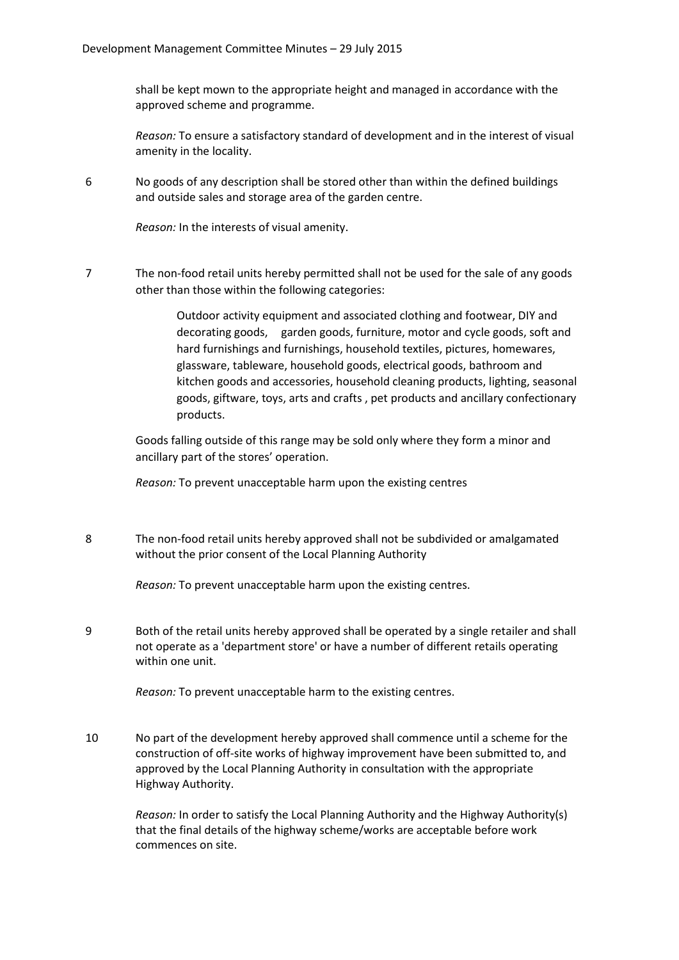shall be kept mown to the appropriate height and managed in accordance with the approved scheme and programme.

*Reason:* To ensure a satisfactory standard of development and in the interest of visual amenity in the locality.

6 No goods of any description shall be stored other than within the defined buildings and outside sales and storage area of the garden centre.

*Reason:* In the interests of visual amenity.

7 The non-food retail units hereby permitted shall not be used for the sale of any goods other than those within the following categories:

> Outdoor activity equipment and associated clothing and footwear, DIY and decorating goods, garden goods, furniture, motor and cycle goods, soft and hard furnishings and furnishings, household textiles, pictures, homewares, glassware, tableware, household goods, electrical goods, bathroom and kitchen goods and accessories, household cleaning products, lighting, seasonal goods, giftware, toys, arts and crafts , pet products and ancillary confectionary products.

Goods falling outside of this range may be sold only where they form a minor and ancillary part of the stores' operation.

*Reason:* To prevent unacceptable harm upon the existing centres

8 The non-food retail units hereby approved shall not be subdivided or amalgamated without the prior consent of the Local Planning Authority

*Reason:* To prevent unacceptable harm upon the existing centres.

9 Both of the retail units hereby approved shall be operated by a single retailer and shall not operate as a 'department store' or have a number of different retails operating within one unit.

*Reason:* To prevent unacceptable harm to the existing centres.

10 No part of the development hereby approved shall commence until a scheme for the construction of off-site works of highway improvement have been submitted to, and approved by the Local Planning Authority in consultation with the appropriate Highway Authority.

> *Reason:* In order to satisfy the Local Planning Authority and the Highway Authority(s) that the final details of the highway scheme/works are acceptable before work commences on site.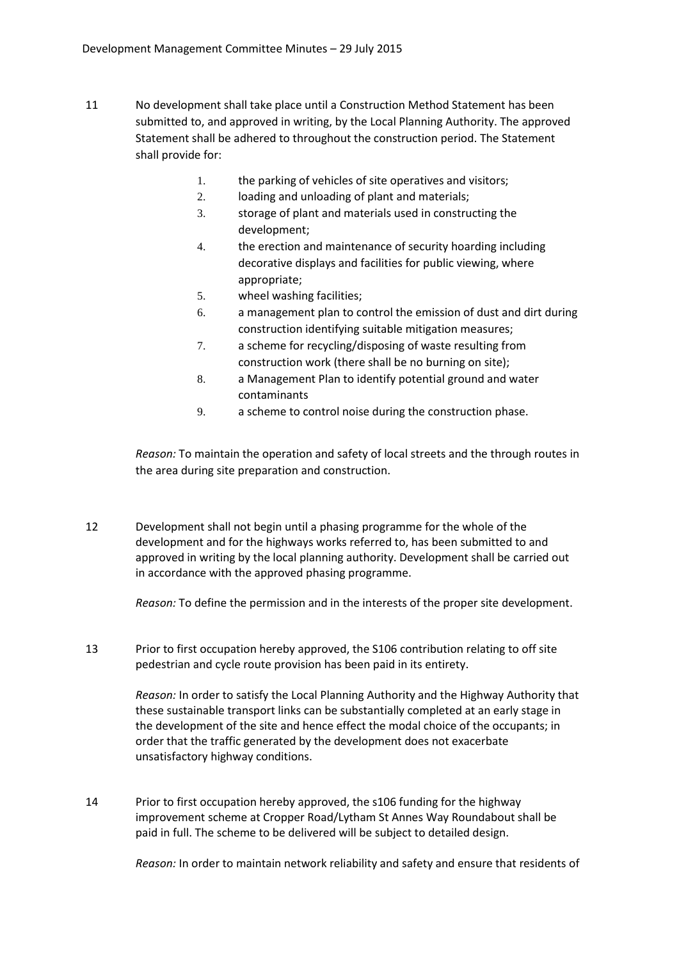- 11 No development shall take place until a Construction Method Statement has been submitted to, and approved in writing, by the Local Planning Authority. The approved Statement shall be adhered to throughout the construction period. The Statement shall provide for:
	- 1. the parking of vehicles of site operatives and visitors;
	- 2. loading and unloading of plant and materials;
	- 3. storage of plant and materials used in constructing the development;
	- 4. the erection and maintenance of security hoarding including decorative displays and facilities for public viewing, where appropriate;
	- 5. wheel washing facilities;
	- 6. a management plan to control the emission of dust and dirt during construction identifying suitable mitigation measures;
	- 7. a scheme for recycling/disposing of waste resulting from construction work (there shall be no burning on site);
	- 8. a Management Plan to identify potential ground and water contaminants
	- 9. a scheme to control noise during the construction phase.

*Reason:* To maintain the operation and safety of local streets and the through routes in the area during site preparation and construction.

12 Development shall not begin until a phasing programme for the whole of the development and for the highways works referred to, has been submitted to and approved in writing by the local planning authority. Development shall be carried out in accordance with the approved phasing programme.

*Reason:* To define the permission and in the interests of the proper site development.

13 Prior to first occupation hereby approved, the S106 contribution relating to off site pedestrian and cycle route provision has been paid in its entirety.

> *Reason:* In order to satisfy the Local Planning Authority and the Highway Authority that these sustainable transport links can be substantially completed at an early stage in the development of the site and hence effect the modal choice of the occupants; in order that the traffic generated by the development does not exacerbate unsatisfactory highway conditions.

14 Prior to first occupation hereby approved, the s106 funding for the highway improvement scheme at Cropper Road/Lytham St Annes Way Roundabout shall be paid in full. The scheme to be delivered will be subject to detailed design.

*Reason:* In order to maintain network reliability and safety and ensure that residents of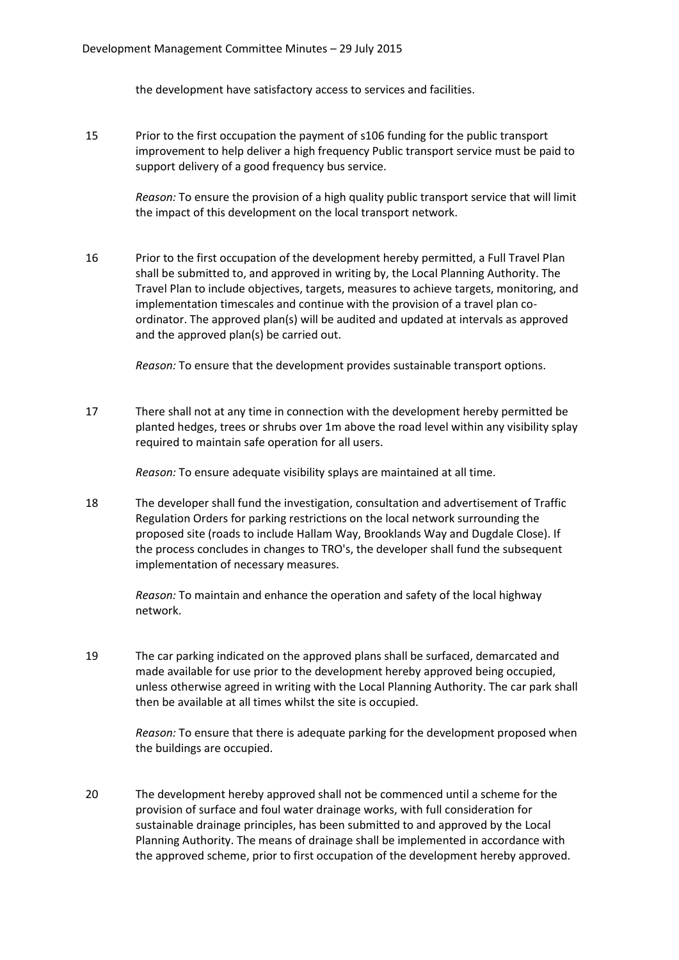the development have satisfactory access to services and facilities.

15 Prior to the first occupation the payment of s106 funding for the public transport improvement to help deliver a high frequency Public transport service must be paid to support delivery of a good frequency bus service.

> *Reason:* To ensure the provision of a high quality public transport service that will limit the impact of this development on the local transport network.

16 Prior to the first occupation of the development hereby permitted, a Full Travel Plan shall be submitted to, and approved in writing by, the Local Planning Authority. The Travel Plan to include objectives, targets, measures to achieve targets, monitoring, and implementation timescales and continue with the provision of a travel plan coordinator. The approved plan(s) will be audited and updated at intervals as approved and the approved plan(s) be carried out.

*Reason:* To ensure that the development provides sustainable transport options.

17 There shall not at any time in connection with the development hereby permitted be planted hedges, trees or shrubs over 1m above the road level within any visibility splay required to maintain safe operation for all users.

*Reason:* To ensure adequate visibility splays are maintained at all time.

18 The developer shall fund the investigation, consultation and advertisement of Traffic Regulation Orders for parking restrictions on the local network surrounding the proposed site (roads to include Hallam Way, Brooklands Way and Dugdale Close). If the process concludes in changes to TRO's, the developer shall fund the subsequent implementation of necessary measures.

> *Reason:* To maintain and enhance the operation and safety of the local highway network.

19 The car parking indicated on the approved plans shall be surfaced, demarcated and made available for use prior to the development hereby approved being occupied, unless otherwise agreed in writing with the Local Planning Authority. The car park shall then be available at all times whilst the site is occupied.

*Reason:* To ensure that there is adequate parking for the development proposed when the buildings are occupied.

20 The development hereby approved shall not be commenced until a scheme for the provision of surface and foul water drainage works, with full consideration for sustainable drainage principles, has been submitted to and approved by the Local Planning Authority. The means of drainage shall be implemented in accordance with the approved scheme, prior to first occupation of the development hereby approved.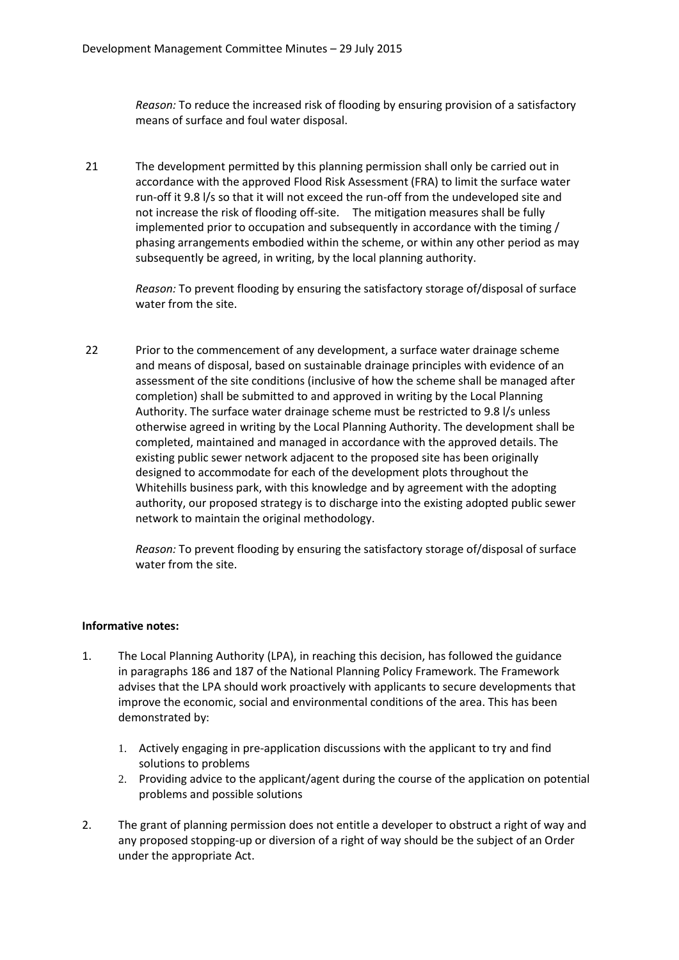*Reason:* To reduce the increased risk of flooding by ensuring provision of a satisfactory means of surface and foul water disposal.

21 The development permitted by this planning permission shall only be carried out in accordance with the approved Flood Risk Assessment (FRA) to limit the surface water run-off it 9.8 l/s so that it will not exceed the run-off from the undeveloped site and not increase the risk of flooding off-site. The mitigation measures shall be fully implemented prior to occupation and subsequently in accordance with the timing / phasing arrangements embodied within the scheme, or within any other period as may subsequently be agreed, in writing, by the local planning authority.

> *Reason:* To prevent flooding by ensuring the satisfactory storage of/disposal of surface water from the site.

22 Prior to the commencement of any development, a surface water drainage scheme and means of disposal, based on sustainable drainage principles with evidence of an assessment of the site conditions (inclusive of how the scheme shall be managed after completion) shall be submitted to and approved in writing by the Local Planning Authority. The surface water drainage scheme must be restricted to 9.8 l/s unless otherwise agreed in writing by the Local Planning Authority. The development shall be completed, maintained and managed in accordance with the approved details. The existing public sewer network adjacent to the proposed site has been originally designed to accommodate for each of the development plots throughout the Whitehills business park, with this knowledge and by agreement with the adopting authority, our proposed strategy is to discharge into the existing adopted public sewer network to maintain the original methodology.

> *Reason:* To prevent flooding by ensuring the satisfactory storage of/disposal of surface water from the site.

## **Informative notes:**

- 1. The Local Planning Authority (LPA), in reaching this decision, has followed the guidance in paragraphs 186 and 187 of the National Planning Policy Framework. The Framework advises that the LPA should work proactively with applicants to secure developments that improve the economic, social and environmental conditions of the area. This has been demonstrated by:
	- 1. Actively engaging in pre-application discussions with the applicant to try and find solutions to problems
	- 2. Providing advice to the applicant/agent during the course of the application on potential problems and possible solutions
- 2. The grant of planning permission does not entitle a developer to obstruct a right of way and any proposed stopping-up or diversion of a right of way should be the subject of an Order under the appropriate Act.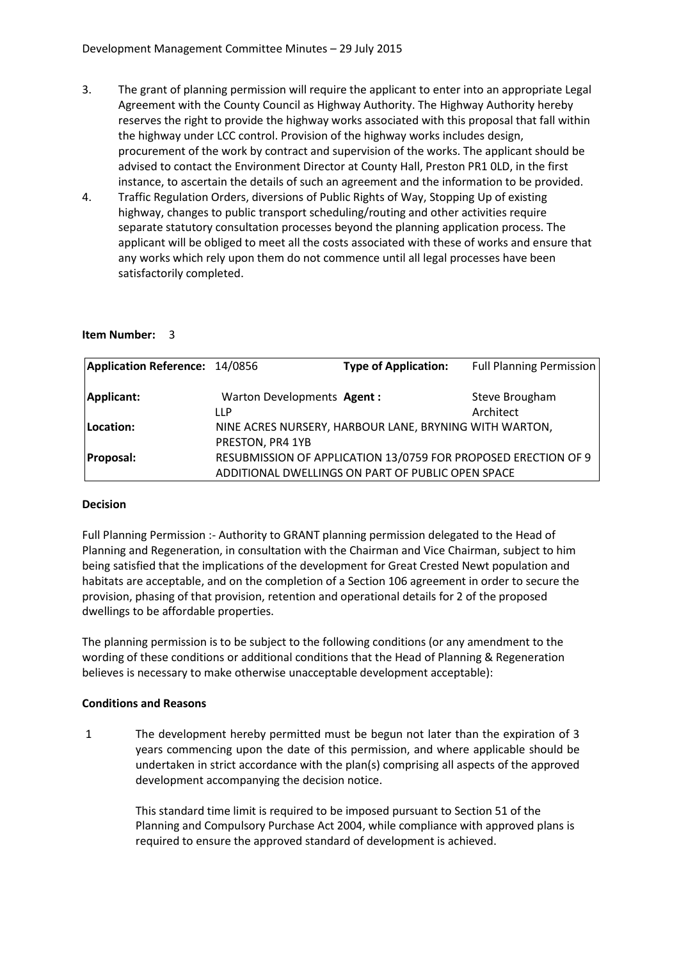- 3. The grant of planning permission will require the applicant to enter into an appropriate Legal Agreement with the County Council as Highway Authority. The Highway Authority hereby reserves the right to provide the highway works associated with this proposal that fall within the highway under LCC control. Provision of the highway works includes design, procurement of the work by contract and supervision of the works. The applicant should be advised to contact the Environment Director at County Hall, Preston PR1 0LD, in the first instance, to ascertain the details of such an agreement and the information to be provided.
- 4. Traffic Regulation Orders, diversions of Public Rights of Way, Stopping Up of existing highway, changes to public transport scheduling/routing and other activities require separate statutory consultation processes beyond the planning application process. The applicant will be obliged to meet all the costs associated with these of works and ensure that any works which rely upon them do not commence until all legal processes have been satisfactorily completed.

#### **Item Number:** 3

| Application Reference: 14/0856 |                            | <b>Type of Application:</b>                                    | <b>Full Planning Permission</b> |
|--------------------------------|----------------------------|----------------------------------------------------------------|---------------------------------|
| Applicant:                     | Warton Developments Agent: |                                                                | Steve Brougham                  |
|                                | LLP                        |                                                                | Architect                       |
| Location:                      |                            | NINE ACRES NURSERY, HARBOUR LANE, BRYNING WITH WARTON,         |                                 |
|                                | PRESTON, PR4 1YB           |                                                                |                                 |
| <b>Proposal:</b>               |                            | RESUBMISSION OF APPLICATION 13/0759 FOR PROPOSED ERECTION OF 9 |                                 |
|                                |                            | ADDITIONAL DWELLINGS ON PART OF PUBLIC OPEN SPACE              |                                 |

#### **Decision**

Full Planning Permission :- Authority to GRANT planning permission delegated to the Head of Planning and Regeneration, in consultation with the Chairman and Vice Chairman, subject to him being satisfied that the implications of the development for Great Crested Newt population and habitats are acceptable, and on the completion of a Section 106 agreement in order to secure the provision, phasing of that provision, retention and operational details for 2 of the proposed dwellings to be affordable properties.

The planning permission is to be subject to the following conditions (or any amendment to the wording of these conditions or additional conditions that the Head of Planning & Regeneration believes is necessary to make otherwise unacceptable development acceptable):

#### **Conditions and Reasons**

1 The development hereby permitted must be begun not later than the expiration of 3 years commencing upon the date of this permission, and where applicable should be undertaken in strict accordance with the plan(s) comprising all aspects of the approved development accompanying the decision notice.

This standard time limit is required to be imposed pursuant to Section 51 of the Planning and Compulsory Purchase Act 2004, while compliance with approved plans is required to ensure the approved standard of development is achieved.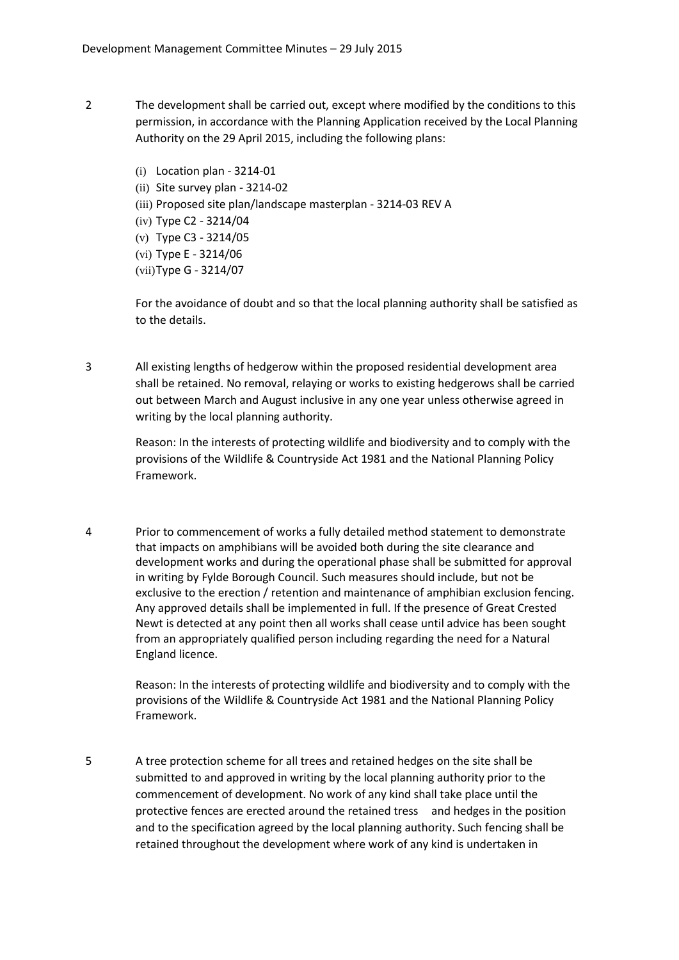- 2 The development shall be carried out, except where modified by the conditions to this permission, in accordance with the Planning Application received by the Local Planning Authority on the 29 April 2015, including the following plans:
	- (i) Location plan 3214-01
	- (ii) Site survey plan 3214-02
	- (iii) Proposed site plan/landscape masterplan 3214-03 REV A
	- (iv) Type C2 3214/04
	- (v) Type C3 3214/05
	- (vi) Type E 3214/06
	- (vii)Type G 3214/07

For the avoidance of doubt and so that the local planning authority shall be satisfied as to the details.

3 All existing lengths of hedgerow within the proposed residential development area shall be retained. No removal, relaying or works to existing hedgerows shall be carried out between March and August inclusive in any one year unless otherwise agreed in writing by the local planning authority.

> Reason: In the interests of protecting wildlife and biodiversity and to comply with the provisions of the Wildlife & Countryside Act 1981 and the National Planning Policy Framework.

4 Prior to commencement of works a fully detailed method statement to demonstrate that impacts on amphibians will be avoided both during the site clearance and development works and during the operational phase shall be submitted for approval in writing by Fylde Borough Council. Such measures should include, but not be exclusive to the erection / retention and maintenance of amphibian exclusion fencing. Any approved details shall be implemented in full. If the presence of Great Crested Newt is detected at any point then all works shall cease until advice has been sought from an appropriately qualified person including regarding the need for a Natural England licence.

> Reason: In the interests of protecting wildlife and biodiversity and to comply with the provisions of the Wildlife & Countryside Act 1981 and the National Planning Policy Framework.

5 A tree protection scheme for all trees and retained hedges on the site shall be submitted to and approved in writing by the local planning authority prior to the commencement of development. No work of any kind shall take place until the protective fences are erected around the retained tress and hedges in the position and to the specification agreed by the local planning authority. Such fencing shall be retained throughout the development where work of any kind is undertaken in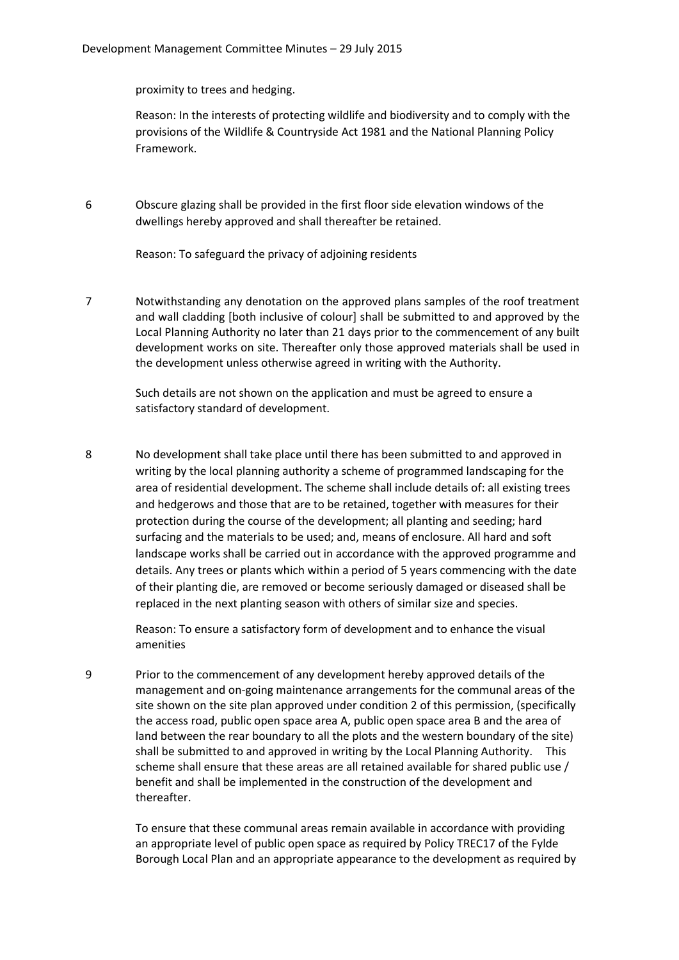proximity to trees and hedging.

Reason: In the interests of protecting wildlife and biodiversity and to comply with the provisions of the Wildlife & Countryside Act 1981 and the National Planning Policy Framework.

6 Obscure glazing shall be provided in the first floor side elevation windows of the dwellings hereby approved and shall thereafter be retained.

Reason: To safeguard the privacy of adjoining residents

7 Notwithstanding any denotation on the approved plans samples of the roof treatment and wall cladding [both inclusive of colour] shall be submitted to and approved by the Local Planning Authority no later than 21 days prior to the commencement of any built development works on site. Thereafter only those approved materials shall be used in the development unless otherwise agreed in writing with the Authority.

> Such details are not shown on the application and must be agreed to ensure a satisfactory standard of development.

8 No development shall take place until there has been submitted to and approved in writing by the local planning authority a scheme of programmed landscaping for the area of residential development. The scheme shall include details of: all existing trees and hedgerows and those that are to be retained, together with measures for their protection during the course of the development; all planting and seeding; hard surfacing and the materials to be used; and, means of enclosure. All hard and soft landscape works shall be carried out in accordance with the approved programme and details. Any trees or plants which within a period of 5 years commencing with the date of their planting die, are removed or become seriously damaged or diseased shall be replaced in the next planting season with others of similar size and species.

> Reason: To ensure a satisfactory form of development and to enhance the visual amenities

9 Prior to the commencement of any development hereby approved details of the management and on-going maintenance arrangements for the communal areas of the site shown on the site plan approved under condition 2 of this permission, (specifically the access road, public open space area A, public open space area B and the area of land between the rear boundary to all the plots and the western boundary of the site) shall be submitted to and approved in writing by the Local Planning Authority. This scheme shall ensure that these areas are all retained available for shared public use / benefit and shall be implemented in the construction of the development and thereafter.

> To ensure that these communal areas remain available in accordance with providing an appropriate level of public open space as required by Policy TREC17 of the Fylde Borough Local Plan and an appropriate appearance to the development as required by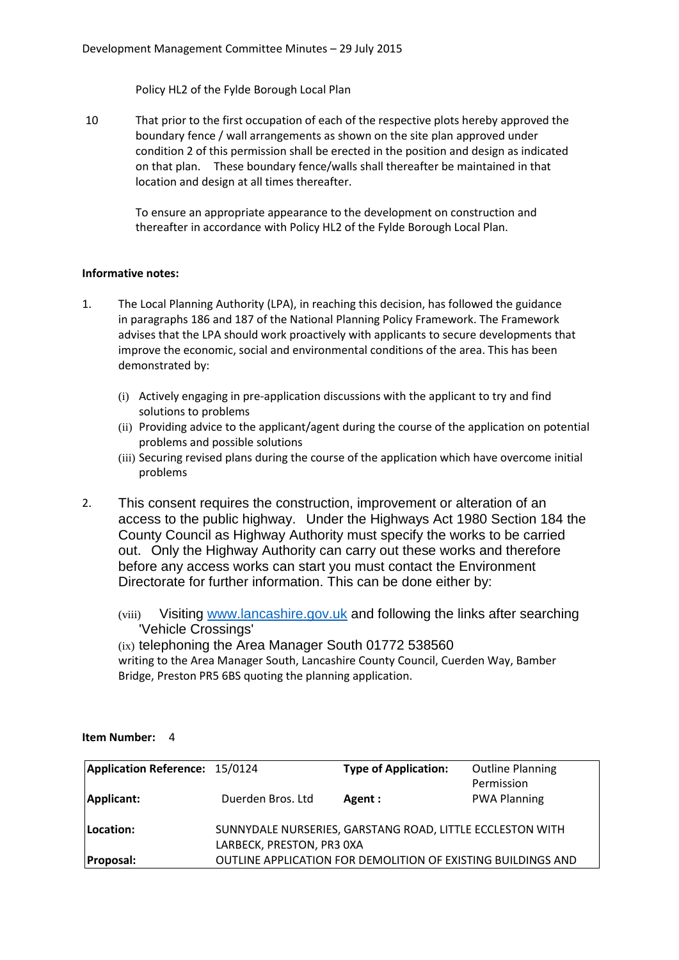Policy HL2 of the Fylde Borough Local Plan

10 That prior to the first occupation of each of the respective plots hereby approved the boundary fence / wall arrangements as shown on the site plan approved under condition 2 of this permission shall be erected in the position and design as indicated on that plan. These boundary fence/walls shall thereafter be maintained in that location and design at all times thereafter.

> To ensure an appropriate appearance to the development on construction and thereafter in accordance with Policy HL2 of the Fylde Borough Local Plan.

## **Informative notes:**

- 1. The Local Planning Authority (LPA), in reaching this decision, has followed the guidance in paragraphs 186 and 187 of the National Planning Policy Framework. The Framework advises that the LPA should work proactively with applicants to secure developments that improve the economic, social and environmental conditions of the area. This has been demonstrated by:
	- (i) Actively engaging in pre-application discussions with the applicant to try and find solutions to problems
	- (ii) Providing advice to the applicant/agent during the course of the application on potential problems and possible solutions
	- (iii) Securing revised plans during the course of the application which have overcome initial problems
- 2. This consent requires the construction, improvement or alteration of an access to the public highway. Under the Highways Act 1980 Section 184 the County Council as Highway Authority must specify the works to be carried out. Only the Highway Authority can carry out these works and therefore before any access works can start you must contact the Environment Directorate for further information. This can be done either by:
	- (viii) Visiting www.lancashire.gov.uk and following the links after searching 'Vehicle Crossings'

(ix) telephoning the Area Manager South 01772 538560 writing to the Area Manager South, Lancashire County Council, Cuerden Way, Bamber Bridge, Preston PR5 6BS quoting the planning application.

| Application Reference: 15/0124 |                           | <b>Type of Application:</b>                                         | <b>Outline Planning</b> |
|--------------------------------|---------------------------|---------------------------------------------------------------------|-------------------------|
|                                |                           |                                                                     | Permission              |
| Applicant:                     | Duerden Bros. Ltd         | Agent:                                                              | <b>PWA Planning</b>     |
|                                |                           |                                                                     |                         |
| Location:                      |                           | SUNNYDALE NURSERIES, GARSTANG ROAD, LITTLE ECCLESTON WITH           |                         |
|                                | LARBECK, PRESTON, PR3 0XA |                                                                     |                         |
| <b>Proposal:</b>               |                           | <b>OUTLINE APPLICATION FOR DEMOLITION OF EXISTING BUILDINGS AND</b> |                         |

#### **Item Number:** 4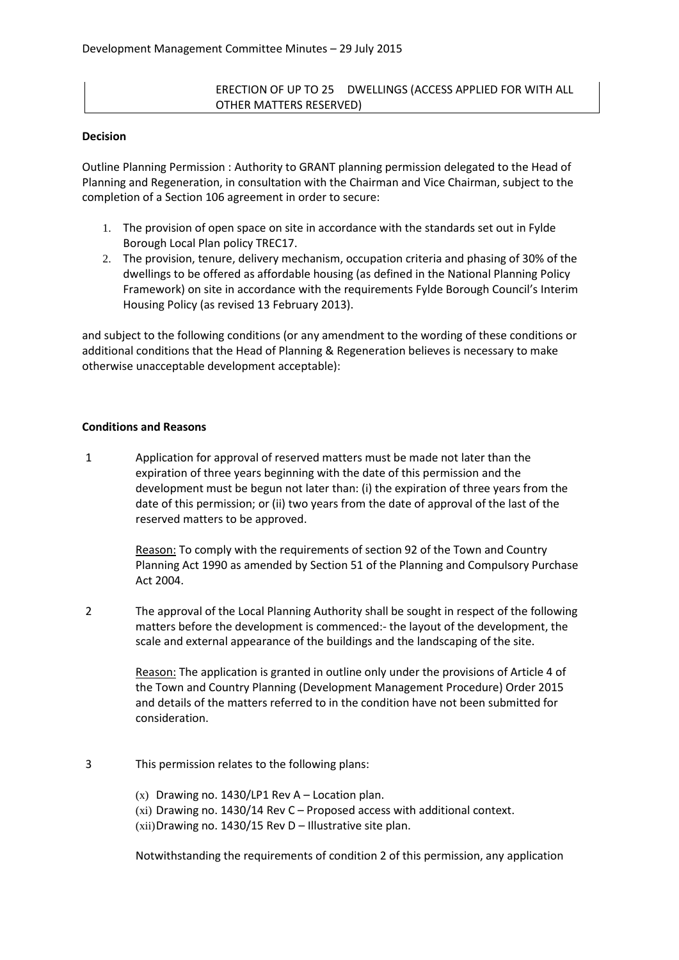## ERECTION OF UP TO 25 DWELLINGS (ACCESS APPLIED FOR WITH ALL OTHER MATTERS RESERVED)

#### **Decision**

Outline Planning Permission : Authority to GRANT planning permission delegated to the Head of Planning and Regeneration, in consultation with the Chairman and Vice Chairman, subject to the completion of a Section 106 agreement in order to secure:

- 1. The provision of open space on site in accordance with the standards set out in Fylde Borough Local Plan policy TREC17.
- 2. The provision, tenure, delivery mechanism, occupation criteria and phasing of 30% of the dwellings to be offered as affordable housing (as defined in the National Planning Policy Framework) on site in accordance with the requirements Fylde Borough Council's Interim Housing Policy (as revised 13 February 2013).

and subject to the following conditions (or any amendment to the wording of these conditions or additional conditions that the Head of Planning & Regeneration believes is necessary to make otherwise unacceptable development acceptable):

#### **Conditions and Reasons**

1 Application for approval of reserved matters must be made not later than the expiration of three years beginning with the date of this permission and the development must be begun not later than: (i) the expiration of three years from the date of this permission; or (ii) two years from the date of approval of the last of the reserved matters to be approved.

> Reason: To comply with the requirements of section 92 of the Town and Country Planning Act 1990 as amended by Section 51 of the Planning and Compulsory Purchase Act 2004.

2 The approval of the Local Planning Authority shall be sought in respect of the following matters before the development is commenced:- the layout of the development, the scale and external appearance of the buildings and the landscaping of the site.

> Reason: The application is granted in outline only under the provisions of Article 4 of the Town and Country Planning (Development Management Procedure) Order 2015 and details of the matters referred to in the condition have not been submitted for consideration.

#### 3 This permission relates to the following plans:

 $(x)$  Drawing no. 1430/LP1 Rev A – Location plan.

(xi) Drawing no. 1430/14 Rev C – Proposed access with additional context.  $(xii)$ Drawing no. 1430/15 Rev D – Illustrative site plan.

Notwithstanding the requirements of condition 2 of this permission, any application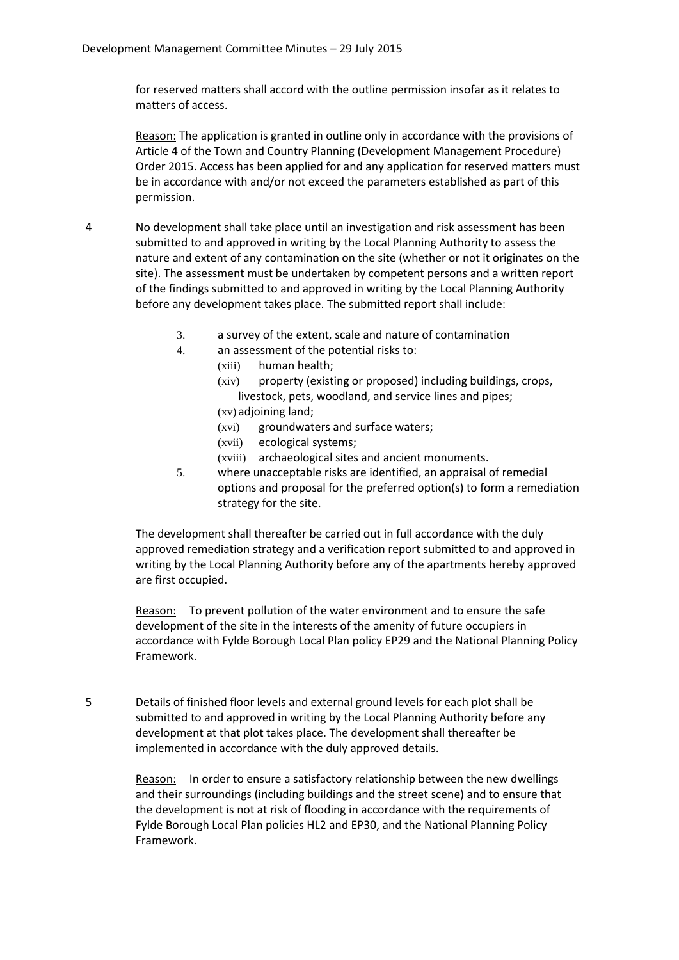for reserved matters shall accord with the outline permission insofar as it relates to matters of access.

Reason: The application is granted in outline only in accordance with the provisions of Article 4 of the Town and Country Planning (Development Management Procedure) Order 2015. Access has been applied for and any application for reserved matters must be in accordance with and/or not exceed the parameters established as part of this permission.

- 4 No development shall take place until an investigation and risk assessment has been submitted to and approved in writing by the Local Planning Authority to assess the nature and extent of any contamination on the site (whether or not it originates on the site). The assessment must be undertaken by competent persons and a written report of the findings submitted to and approved in writing by the Local Planning Authority before any development takes place. The submitted report shall include:
	- 3. a survey of the extent, scale and nature of contamination
	- 4. an assessment of the potential risks to:
		- (xiii) human health;
		- (xiv) property (existing or proposed) including buildings, crops, livestock, pets, woodland, and service lines and pipes;
		- (xv) adjoining land;
		- (xvi) groundwaters and surface waters;
		- (xvii) ecological systems;
		- (xviii) archaeological sites and ancient monuments.
	- 5. where unacceptable risks are identified, an appraisal of remedial options and proposal for the preferred option(s) to form a remediation strategy for the site.

The development shall thereafter be carried out in full accordance with the duly approved remediation strategy and a verification report submitted to and approved in writing by the Local Planning Authority before any of the apartments hereby approved are first occupied.

Reason: To prevent pollution of the water environment and to ensure the safe development of the site in the interests of the amenity of future occupiers in accordance with Fylde Borough Local Plan policy EP29 and the National Planning Policy Framework.

5 Details of finished floor levels and external ground levels for each plot shall be submitted to and approved in writing by the Local Planning Authority before any development at that plot takes place. The development shall thereafter be implemented in accordance with the duly approved details.

> Reason: In order to ensure a satisfactory relationship between the new dwellings and their surroundings (including buildings and the street scene) and to ensure that the development is not at risk of flooding in accordance with the requirements of Fylde Borough Local Plan policies HL2 and EP30, and the National Planning Policy Framework.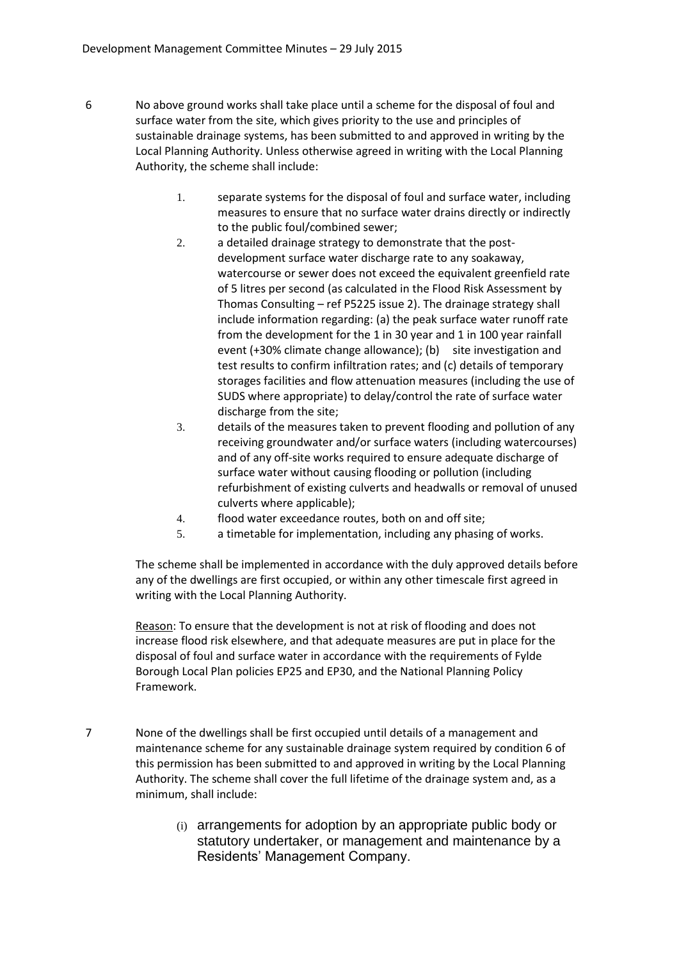- 6 No above ground works shall take place until a scheme for the disposal of foul and surface water from the site, which gives priority to the use and principles of sustainable drainage systems, has been submitted to and approved in writing by the Local Planning Authority. Unless otherwise agreed in writing with the Local Planning Authority, the scheme shall include:
	- 1. separate systems for the disposal of foul and surface water, including measures to ensure that no surface water drains directly or indirectly to the public foul/combined sewer;
	- 2. a detailed drainage strategy to demonstrate that the postdevelopment surface water discharge rate to any soakaway, watercourse or sewer does not exceed the equivalent greenfield rate of 5 litres per second (as calculated in the Flood Risk Assessment by Thomas Consulting – ref P5225 issue 2). The drainage strategy shall include information regarding: (a) the peak surface water runoff rate from the development for the 1 in 30 year and 1 in 100 year rainfall event (+30% climate change allowance); (b) site investigation and test results to confirm infiltration rates; and (c) details of temporary storages facilities and flow attenuation measures (including the use of SUDS where appropriate) to delay/control the rate of surface water discharge from the site;
	- 3. details of the measures taken to prevent flooding and pollution of any receiving groundwater and/or surface waters (including watercourses) and of any off-site works required to ensure adequate discharge of surface water without causing flooding or pollution (including refurbishment of existing culverts and headwalls or removal of unused culverts where applicable);
	- 4. flood water exceedance routes, both on and off site;
	- 5. a timetable for implementation, including any phasing of works.

The scheme shall be implemented in accordance with the duly approved details before any of the dwellings are first occupied, or within any other timescale first agreed in writing with the Local Planning Authority.

Reason: To ensure that the development is not at risk of flooding and does not increase flood risk elsewhere, and that adequate measures are put in place for the disposal of foul and surface water in accordance with the requirements of Fylde Borough Local Plan policies EP25 and EP30, and the National Planning Policy Framework.

- 7 None of the dwellings shall be first occupied until details of a management and maintenance scheme for any sustainable drainage system required by condition 6 of this permission has been submitted to and approved in writing by the Local Planning Authority. The scheme shall cover the full lifetime of the drainage system and, as a minimum, shall include:
	- (i) arrangements for adoption by an appropriate public body or statutory undertaker, or management and maintenance by a Residents' Management Company.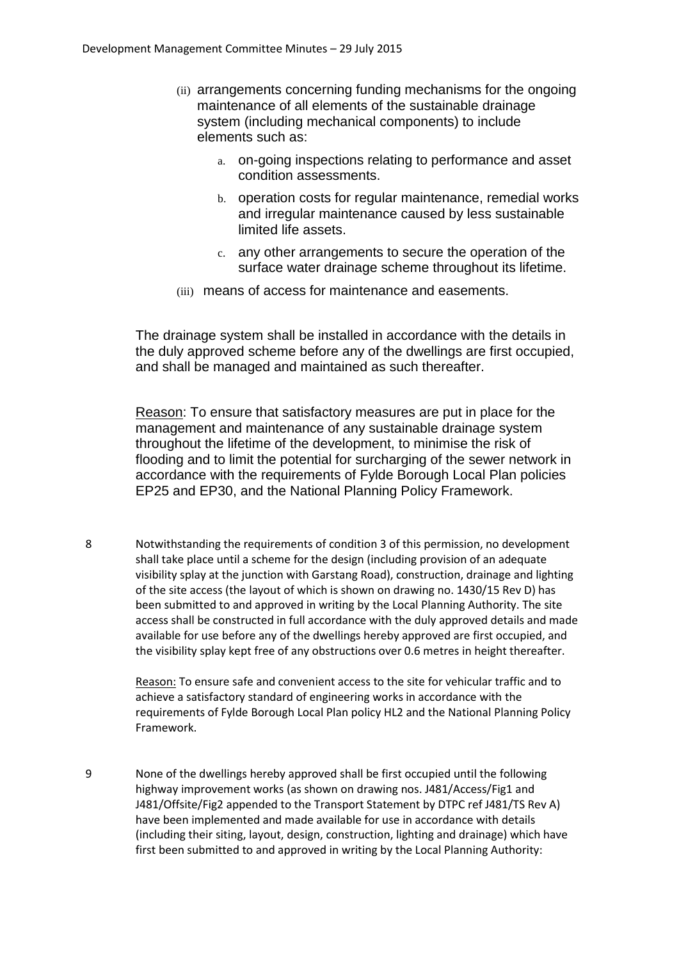- (ii) arrangements concerning funding mechanisms for the ongoing maintenance of all elements of the sustainable drainage system (including mechanical components) to include elements such as:
	- a. on-going inspections relating to performance and asset condition assessments.
	- b. operation costs for regular maintenance, remedial works and irregular maintenance caused by less sustainable limited life assets.
	- c. any other arrangements to secure the operation of the surface water drainage scheme throughout its lifetime.
- (iii) means of access for maintenance and easements.

The drainage system shall be installed in accordance with the details in the duly approved scheme before any of the dwellings are first occupied, and shall be managed and maintained as such thereafter.

Reason: To ensure that satisfactory measures are put in place for the management and maintenance of any sustainable drainage system throughout the lifetime of the development, to minimise the risk of flooding and to limit the potential for surcharging of the sewer network in accordance with the requirements of Fylde Borough Local Plan policies EP25 and EP30, and the National Planning Policy Framework.

8 Notwithstanding the requirements of condition 3 of this permission, no development shall take place until a scheme for the design (including provision of an adequate visibility splay at the junction with Garstang Road), construction, drainage and lighting of the site access (the layout of which is shown on drawing no. 1430/15 Rev D) has been submitted to and approved in writing by the Local Planning Authority. The site access shall be constructed in full accordance with the duly approved details and made available for use before any of the dwellings hereby approved are first occupied, and the visibility splay kept free of any obstructions over 0.6 metres in height thereafter.

> Reason: To ensure safe and convenient access to the site for vehicular traffic and to achieve a satisfactory standard of engineering works in accordance with the requirements of Fylde Borough Local Plan policy HL2 and the National Planning Policy Framework.

9 None of the dwellings hereby approved shall be first occupied until the following highway improvement works (as shown on drawing nos. J481/Access/Fig1 and J481/Offsite/Fig2 appended to the Transport Statement by DTPC ref J481/TS Rev A) have been implemented and made available for use in accordance with details (including their siting, layout, design, construction, lighting and drainage) which have first been submitted to and approved in writing by the Local Planning Authority: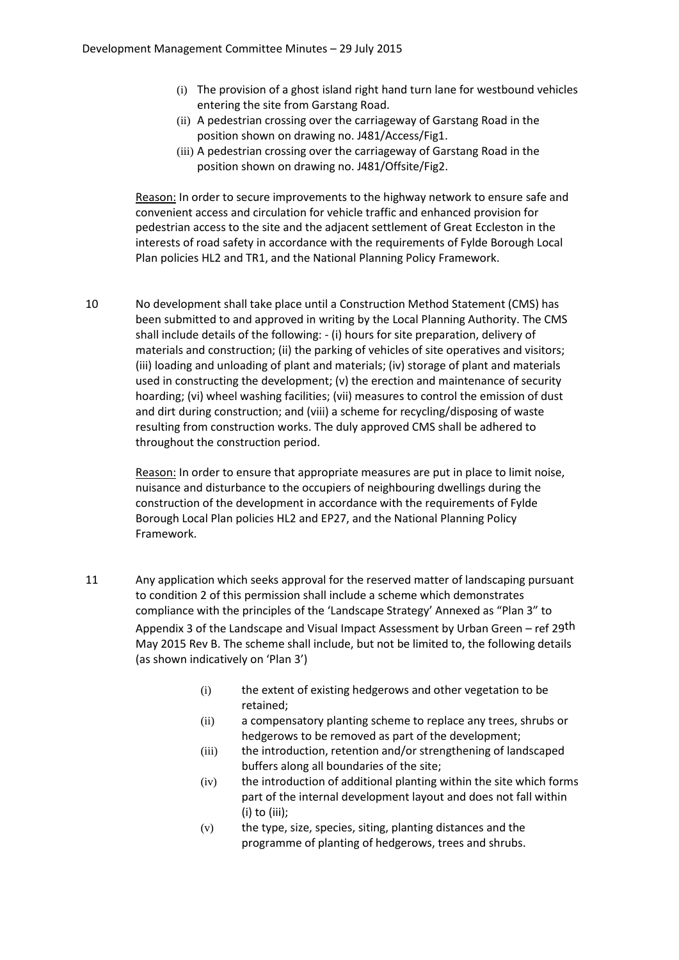- (i) The provision of a ghost island right hand turn lane for westbound vehicles entering the site from Garstang Road.
- (ii) A pedestrian crossing over the carriageway of Garstang Road in the position shown on drawing no. J481/Access/Fig1.
- (iii) A pedestrian crossing over the carriageway of Garstang Road in the position shown on drawing no. J481/Offsite/Fig2.

Reason: In order to secure improvements to the highway network to ensure safe and convenient access and circulation for vehicle traffic and enhanced provision for pedestrian access to the site and the adjacent settlement of Great Eccleston in the interests of road safety in accordance with the requirements of Fylde Borough Local Plan policies HL2 and TR1, and the National Planning Policy Framework.

10 No development shall take place until a Construction Method Statement (CMS) has been submitted to and approved in writing by the Local Planning Authority. The CMS shall include details of the following: - (i) hours for site preparation, delivery of materials and construction; (ii) the parking of vehicles of site operatives and visitors; (iii) loading and unloading of plant and materials; (iv) storage of plant and materials used in constructing the development; (v) the erection and maintenance of security hoarding; (vi) wheel washing facilities; (vii) measures to control the emission of dust and dirt during construction; and (viii) a scheme for recycling/disposing of waste resulting from construction works. The duly approved CMS shall be adhered to throughout the construction period.

> Reason: In order to ensure that appropriate measures are put in place to limit noise, nuisance and disturbance to the occupiers of neighbouring dwellings during the construction of the development in accordance with the requirements of Fylde Borough Local Plan policies HL2 and EP27, and the National Planning Policy Framework.

- 11 Any application which seeks approval for the reserved matter of landscaping pursuant to condition 2 of this permission shall include a scheme which demonstrates compliance with the principles of the 'Landscape Strategy' Annexed as "Plan 3" to Appendix 3 of the Landscape and Visual Impact Assessment by Urban Green – ref 29th May 2015 Rev B. The scheme shall include, but not be limited to, the following details (as shown indicatively on 'Plan 3')
	- (i) the extent of existing hedgerows and other vegetation to be retained;
	- (ii) a compensatory planting scheme to replace any trees, shrubs or hedgerows to be removed as part of the development;
	- (iii) the introduction, retention and/or strengthening of landscaped buffers along all boundaries of the site;
	- (iv) the introduction of additional planting within the site which forms part of the internal development layout and does not fall within (i) to (iii);
	- (v) the type, size, species, siting, planting distances and the programme of planting of hedgerows, trees and shrubs.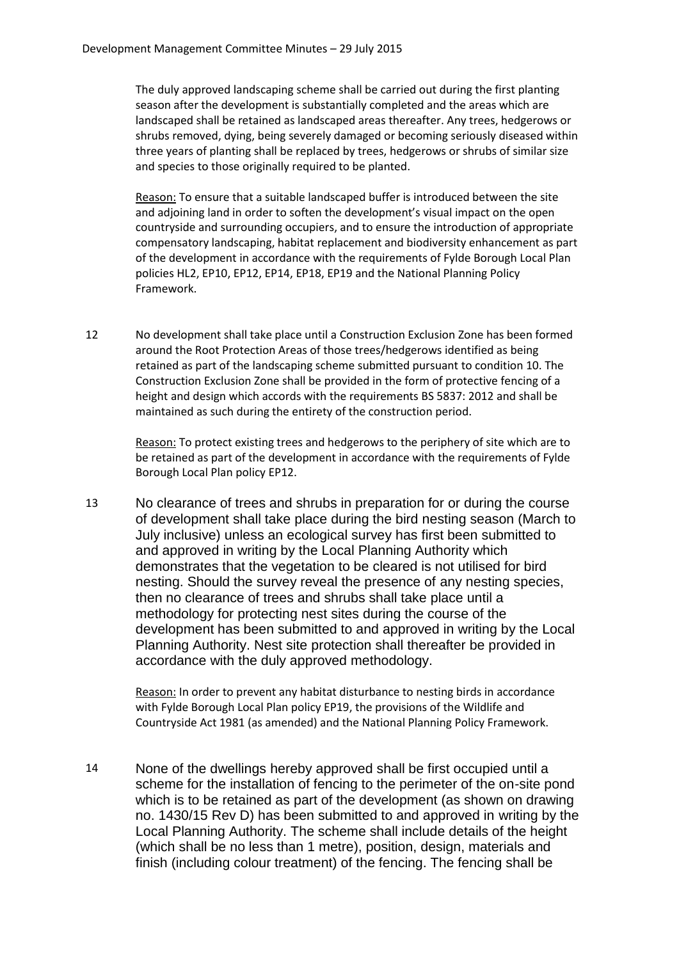The duly approved landscaping scheme shall be carried out during the first planting season after the development is substantially completed and the areas which are landscaped shall be retained as landscaped areas thereafter. Any trees, hedgerows or shrubs removed, dying, being severely damaged or becoming seriously diseased within three years of planting shall be replaced by trees, hedgerows or shrubs of similar size and species to those originally required to be planted.

Reason: To ensure that a suitable landscaped buffer is introduced between the site and adjoining land in order to soften the development's visual impact on the open countryside and surrounding occupiers, and to ensure the introduction of appropriate compensatory landscaping, habitat replacement and biodiversity enhancement as part of the development in accordance with the requirements of Fylde Borough Local Plan policies HL2, EP10, EP12, EP14, EP18, EP19 and the National Planning Policy Framework.

12 No development shall take place until a Construction Exclusion Zone has been formed around the Root Protection Areas of those trees/hedgerows identified as being retained as part of the landscaping scheme submitted pursuant to condition 10. The Construction Exclusion Zone shall be provided in the form of protective fencing of a height and design which accords with the requirements BS 5837: 2012 and shall be maintained as such during the entirety of the construction period.

> Reason: To protect existing trees and hedgerows to the periphery of site which are to be retained as part of the development in accordance with the requirements of Fylde Borough Local Plan policy EP12.

13 No clearance of trees and shrubs in preparation for or during the course of development shall take place during the bird nesting season (March to July inclusive) unless an ecological survey has first been submitted to and approved in writing by the Local Planning Authority which demonstrates that the vegetation to be cleared is not utilised for bird nesting. Should the survey reveal the presence of any nesting species, then no clearance of trees and shrubs shall take place until a methodology for protecting nest sites during the course of the development has been submitted to and approved in writing by the Local Planning Authority. Nest site protection shall thereafter be provided in accordance with the duly approved methodology.

> Reason: In order to prevent any habitat disturbance to nesting birds in accordance with Fylde Borough Local Plan policy EP19, the provisions of the Wildlife and Countryside Act 1981 (as amended) and the National Planning Policy Framework.

14 None of the dwellings hereby approved shall be first occupied until a scheme for the installation of fencing to the perimeter of the on-site pond which is to be retained as part of the development (as shown on drawing no. 1430/15 Rev D) has been submitted to and approved in writing by the Local Planning Authority. The scheme shall include details of the height (which shall be no less than 1 metre), position, design, materials and finish (including colour treatment) of the fencing. The fencing shall be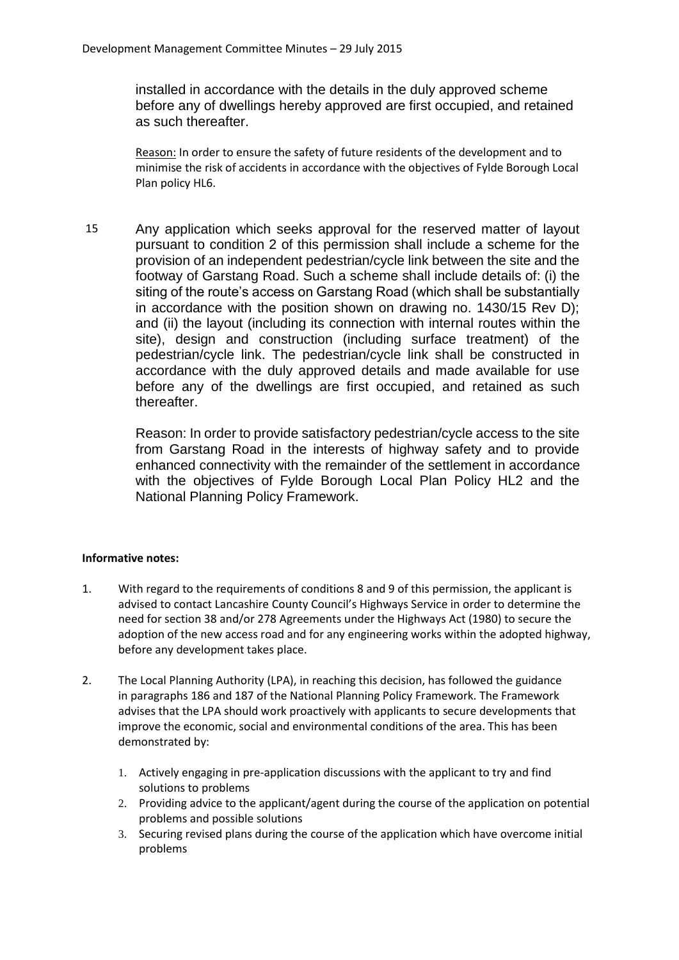installed in accordance with the details in the duly approved scheme before any of dwellings hereby approved are first occupied, and retained as such thereafter.

Reason: In order to ensure the safety of future residents of the development and to minimise the risk of accidents in accordance with the objectives of Fylde Borough Local Plan policy HL6.

15 Any application which seeks approval for the reserved matter of layout pursuant to condition 2 of this permission shall include a scheme for the provision of an independent pedestrian/cycle link between the site and the footway of Garstang Road. Such a scheme shall include details of: (i) the siting of the route's access on Garstang Road (which shall be substantially in accordance with the position shown on drawing no. 1430/15 Rev D); and (ii) the layout (including its connection with internal routes within the site), design and construction (including surface treatment) of the pedestrian/cycle link. The pedestrian/cycle link shall be constructed in accordance with the duly approved details and made available for use before any of the dwellings are first occupied, and retained as such thereafter.

Reason: In order to provide satisfactory pedestrian/cycle access to the site from Garstang Road in the interests of highway safety and to provide enhanced connectivity with the remainder of the settlement in accordance with the objectives of Fylde Borough Local Plan Policy HL2 and the National Planning Policy Framework.

## **Informative notes:**

- 1. With regard to the requirements of conditions 8 and 9 of this permission, the applicant is advised to contact Lancashire County Council's Highways Service in order to determine the need for section 38 and/or 278 Agreements under the Highways Act (1980) to secure the adoption of the new access road and for any engineering works within the adopted highway, before any development takes place.
- 2. The Local Planning Authority (LPA), in reaching this decision, has followed the guidance in paragraphs 186 and 187 of the National Planning Policy Framework. The Framework advises that the LPA should work proactively with applicants to secure developments that improve the economic, social and environmental conditions of the area. This has been demonstrated by:
	- 1. Actively engaging in pre-application discussions with the applicant to try and find solutions to problems
	- 2. Providing advice to the applicant/agent during the course of the application on potential problems and possible solutions
	- 3. Securing revised plans during the course of the application which have overcome initial problems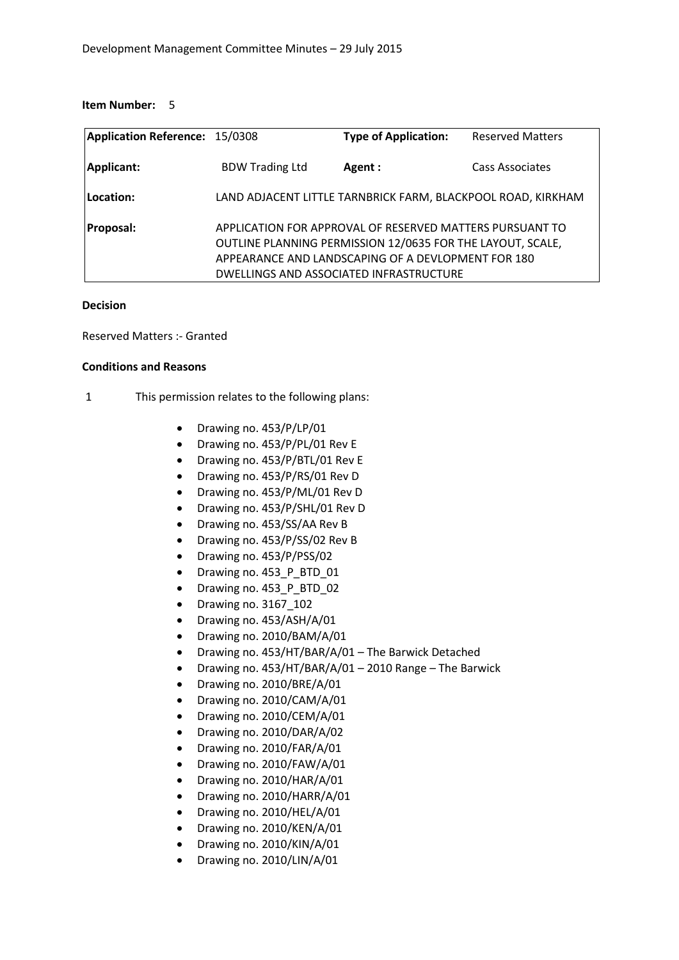#### **Item Number:** 5

| Application Reference: 15/0308 |                        | <b>Type of Application:</b>                                                                                                                                                                                             | <b>Reserved Matters</b> |
|--------------------------------|------------------------|-------------------------------------------------------------------------------------------------------------------------------------------------------------------------------------------------------------------------|-------------------------|
| Applicant:                     | <b>BDW Trading Ltd</b> | Agent:                                                                                                                                                                                                                  | Cass Associates         |
| Location:                      |                        | LAND ADJACENT LITTLE TARNBRICK FARM, BLACKPOOL ROAD, KIRKHAM                                                                                                                                                            |                         |
| Proposal:                      |                        | APPLICATION FOR APPROVAL OF RESERVED MATTERS PURSUANT TO<br>OUTLINE PLANNING PERMISSION 12/0635 FOR THE LAYOUT, SCALE,<br>APPEARANCE AND LANDSCAPING OF A DEVLOPMENT FOR 180<br>DWELLINGS AND ASSOCIATED INFRASTRUCTURE |                         |

#### **Decision**

Reserved Matters :- Granted

#### **Conditions and Reasons**

#### 1 This permission relates to the following plans:

- Drawing no. 453/P/LP/01
- Drawing no. 453/P/PL/01 Rev E
- Drawing no. 453/P/BTL/01 Rev E
- Drawing no. 453/P/RS/01 Rev D
- Drawing no. 453/P/ML/01 Rev D
- Drawing no. 453/P/SHL/01 Rev D
- Drawing no. 453/SS/AA Rev B
- Drawing no. 453/P/SS/02 Rev B
- Drawing no. 453/P/PSS/02
- Drawing no. 453 P BTD 01
- Drawing no. 453 P BTD 02
- Drawing no. 3167\_102
- Drawing no. 453/ASH/A/01
- Drawing no. 2010/BAM/A/01
- Drawing no. 453/HT/BAR/A/01 The Barwick Detached
- Drawing no. 453/HT/BAR/A/01 2010 Range The Barwick
- Drawing no. 2010/BRE/A/01
- Drawing no. 2010/CAM/A/01
- Drawing no. 2010/CEM/A/01
- Drawing no. 2010/DAR/A/02
- Drawing no. 2010/FAR/A/01
- Drawing no. 2010/FAW/A/01
- Drawing no. 2010/HAR/A/01
- Drawing no. 2010/HARR/A/01
- Drawing no. 2010/HEL/A/01
- Drawing no. 2010/KEN/A/01
- Drawing no. 2010/KIN/A/01
- Drawing no. 2010/LIN/A/01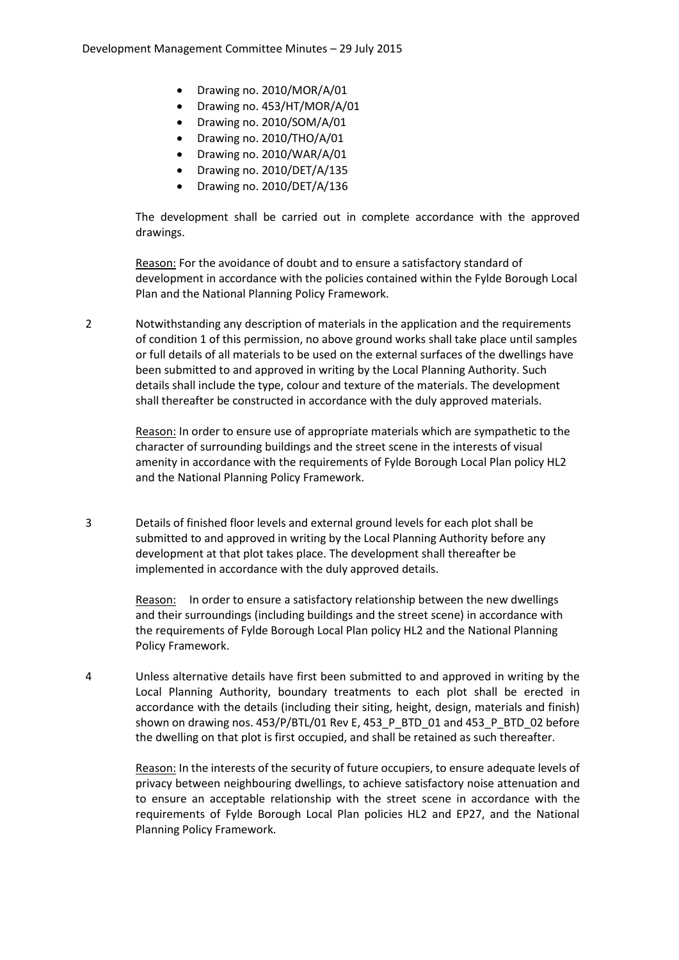- Drawing no. 2010/MOR/A/01
- Drawing no. 453/HT/MOR/A/01
- Drawing no. 2010/SOM/A/01
- Drawing no. 2010/THO/A/01
- Drawing no. 2010/WAR/A/01
- Drawing no. 2010/DET/A/135
- Drawing no. 2010/DET/A/136

The development shall be carried out in complete accordance with the approved drawings.

Reason: For the avoidance of doubt and to ensure a satisfactory standard of development in accordance with the policies contained within the Fylde Borough Local Plan and the National Planning Policy Framework.

2 Notwithstanding any description of materials in the application and the requirements of condition 1 of this permission, no above ground works shall take place until samples or full details of all materials to be used on the external surfaces of the dwellings have been submitted to and approved in writing by the Local Planning Authority. Such details shall include the type, colour and texture of the materials. The development shall thereafter be constructed in accordance with the duly approved materials.

Reason: In order to ensure use of appropriate materials which are sympathetic to the character of surrounding buildings and the street scene in the interests of visual amenity in accordance with the requirements of Fylde Borough Local Plan policy HL2 and the National Planning Policy Framework.

3 Details of finished floor levels and external ground levels for each plot shall be submitted to and approved in writing by the Local Planning Authority before any development at that plot takes place. The development shall thereafter be implemented in accordance with the duly approved details.

> Reason: In order to ensure a satisfactory relationship between the new dwellings and their surroundings (including buildings and the street scene) in accordance with the requirements of Fylde Borough Local Plan policy HL2 and the National Planning Policy Framework.

4 Unless alternative details have first been submitted to and approved in writing by the Local Planning Authority, boundary treatments to each plot shall be erected in accordance with the details (including their siting, height, design, materials and finish) shown on drawing nos. 453/P/BTL/01 Rev E, 453\_P\_BTD\_01 and 453\_P\_BTD\_02 before the dwelling on that plot is first occupied, and shall be retained as such thereafter.

Reason: In the interests of the security of future occupiers, to ensure adequate levels of privacy between neighbouring dwellings, to achieve satisfactory noise attenuation and to ensure an acceptable relationship with the street scene in accordance with the requirements of Fylde Borough Local Plan policies HL2 and EP27, and the National Planning Policy Framework.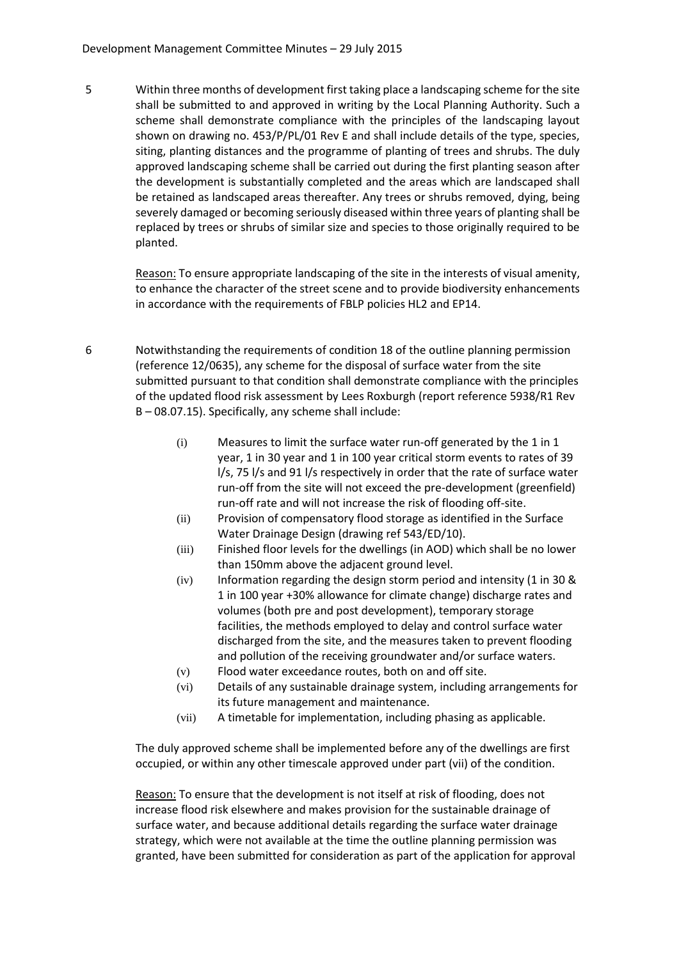5 Within three months of development first taking place a landscaping scheme for the site shall be submitted to and approved in writing by the Local Planning Authority. Such a scheme shall demonstrate compliance with the principles of the landscaping layout shown on drawing no. 453/P/PL/01 Rev E and shall include details of the type, species, siting, planting distances and the programme of planting of trees and shrubs. The duly approved landscaping scheme shall be carried out during the first planting season after the development is substantially completed and the areas which are landscaped shall be retained as landscaped areas thereafter. Any trees or shrubs removed, dying, being severely damaged or becoming seriously diseased within three years of planting shall be replaced by trees or shrubs of similar size and species to those originally required to be planted.

> Reason: To ensure appropriate landscaping of the site in the interests of visual amenity, to enhance the character of the street scene and to provide biodiversity enhancements in accordance with the requirements of FBLP policies HL2 and EP14.

- 6 Notwithstanding the requirements of condition 18 of the outline planning permission (reference 12/0635), any scheme for the disposal of surface water from the site submitted pursuant to that condition shall demonstrate compliance with the principles of the updated flood risk assessment by Lees Roxburgh (report reference 5938/R1 Rev B – 08.07.15). Specifically, any scheme shall include:
	- (i) Measures to limit the surface water run-off generated by the 1 in 1 year, 1 in 30 year and 1 in 100 year critical storm events to rates of 39 l/s, 75 l/s and 91 l/s respectively in order that the rate of surface water run-off from the site will not exceed the pre-development (greenfield) run-off rate and will not increase the risk of flooding off-site.
	- (ii) Provision of compensatory flood storage as identified in the Surface Water Drainage Design (drawing ref 543/ED/10).
	- (iii) Finished floor levels for the dwellings (in AOD) which shall be no lower than 150mm above the adjacent ground level.
	- (iv) Information regarding the design storm period and intensity (1 in 30 & 1 in 100 year +30% allowance for climate change) discharge rates and volumes (both pre and post development), temporary storage facilities, the methods employed to delay and control surface water discharged from the site, and the measures taken to prevent flooding and pollution of the receiving groundwater and/or surface waters.
	- (v) Flood water exceedance routes, both on and off site.
	- (vi) Details of any sustainable drainage system, including arrangements for its future management and maintenance.
	- (vii) A timetable for implementation, including phasing as applicable.

The duly approved scheme shall be implemented before any of the dwellings are first occupied, or within any other timescale approved under part (vii) of the condition.

Reason: To ensure that the development is not itself at risk of flooding, does not increase flood risk elsewhere and makes provision for the sustainable drainage of surface water, and because additional details regarding the surface water drainage strategy, which were not available at the time the outline planning permission was granted, have been submitted for consideration as part of the application for approval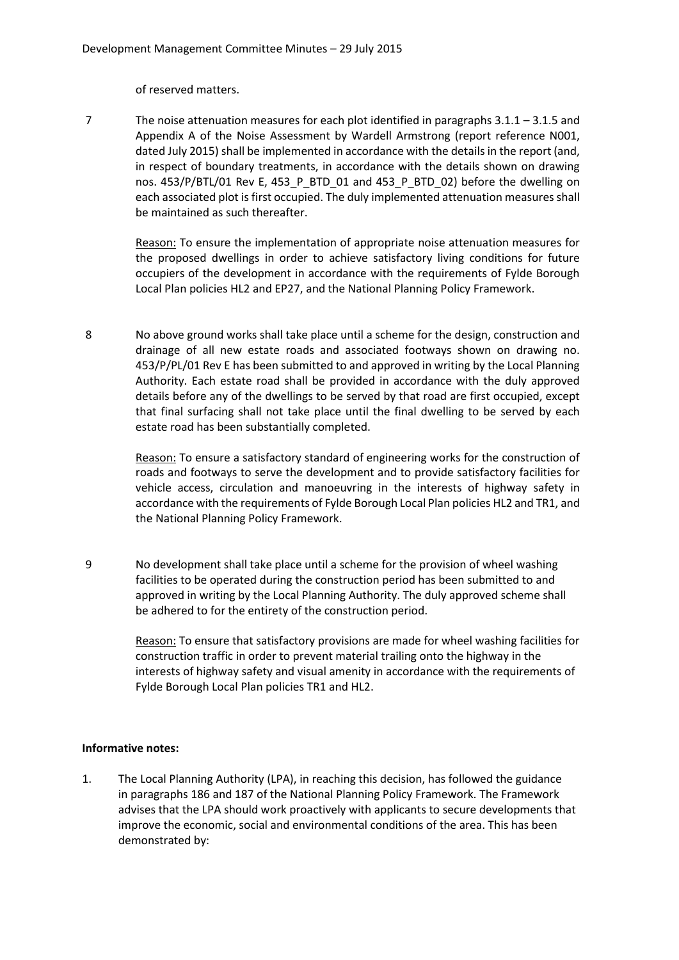of reserved matters.

7 The noise attenuation measures for each plot identified in paragraphs 3.1.1 – 3.1.5 and Appendix A of the Noise Assessment by Wardell Armstrong (report reference N001, dated July 2015) shall be implemented in accordance with the details in the report (and, in respect of boundary treatments, in accordance with the details shown on drawing nos. 453/P/BTL/01 Rev E, 453 P\_BTD\_01 and 453\_P\_BTD\_02) before the dwelling on each associated plot is first occupied. The duly implemented attenuation measures shall be maintained as such thereafter.

Reason: To ensure the implementation of appropriate noise attenuation measures for the proposed dwellings in order to achieve satisfactory living conditions for future occupiers of the development in accordance with the requirements of Fylde Borough Local Plan policies HL2 and EP27, and the National Planning Policy Framework.

8 No above ground works shall take place until a scheme for the design, construction and drainage of all new estate roads and associated footways shown on drawing no. 453/P/PL/01 Rev E has been submitted to and approved in writing by the Local Planning Authority. Each estate road shall be provided in accordance with the duly approved details before any of the dwellings to be served by that road are first occupied, except that final surfacing shall not take place until the final dwelling to be served by each estate road has been substantially completed.

Reason: To ensure a satisfactory standard of engineering works for the construction of roads and footways to serve the development and to provide satisfactory facilities for vehicle access, circulation and manoeuvring in the interests of highway safety in accordance with the requirements of Fylde Borough Local Plan policies HL2 and TR1, and the National Planning Policy Framework.

9 No development shall take place until a scheme for the provision of wheel washing facilities to be operated during the construction period has been submitted to and approved in writing by the Local Planning Authority. The duly approved scheme shall be adhered to for the entirety of the construction period.

> Reason: To ensure that satisfactory provisions are made for wheel washing facilities for construction traffic in order to prevent material trailing onto the highway in the interests of highway safety and visual amenity in accordance with the requirements of Fylde Borough Local Plan policies TR1 and HL2.

## **Informative notes:**

1. The Local Planning Authority (LPA), in reaching this decision, has followed the guidance in paragraphs 186 and 187 of the National Planning Policy Framework. The Framework advises that the LPA should work proactively with applicants to secure developments that improve the economic, social and environmental conditions of the area. This has been demonstrated by: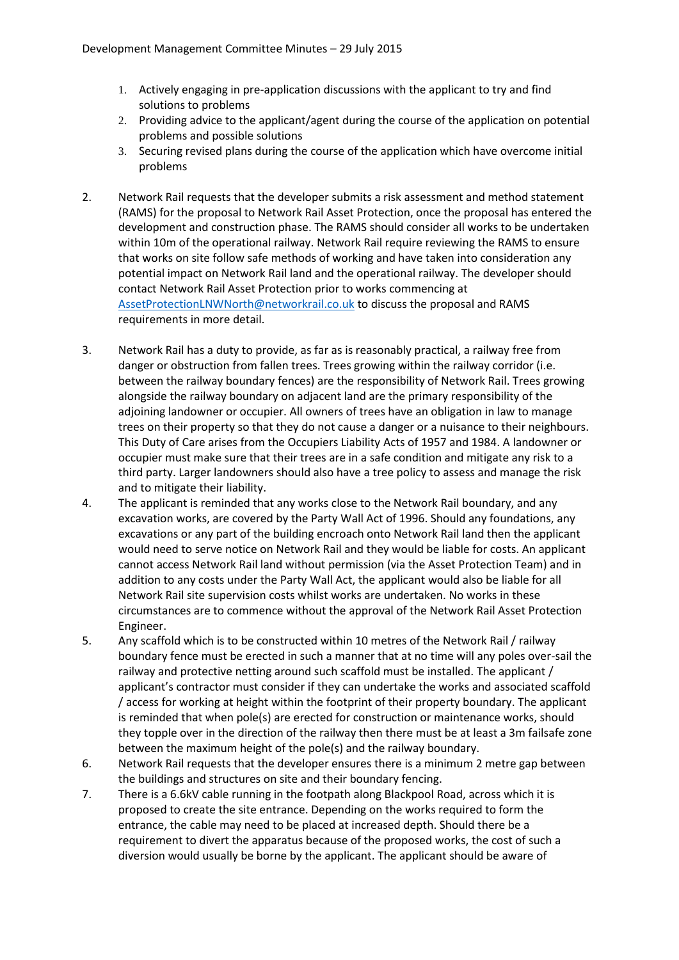- 1. Actively engaging in pre-application discussions with the applicant to try and find solutions to problems
- 2. Providing advice to the applicant/agent during the course of the application on potential problems and possible solutions
- 3. Securing revised plans during the course of the application which have overcome initial problems
- 2. Network Rail requests that the developer submits a risk assessment and method statement (RAMS) for the proposal to Network Rail Asset Protection, once the proposal has entered the development and construction phase. The RAMS should consider all works to be undertaken within 10m of the operational railway. Network Rail require reviewing the RAMS to ensure that works on site follow safe methods of working and have taken into consideration any potential impact on Network Rail land and the operational railway. The developer should contact Network Rail Asset Protection prior to works commencing at AssetProtectionLNWNorth@networkrail.co.uk to discuss the proposal and RAMS requirements in more detail.
- 3. Network Rail has a duty to provide, as far as is reasonably practical, a railway free from danger or obstruction from fallen trees. Trees growing within the railway corridor (i.e. between the railway boundary fences) are the responsibility of Network Rail. Trees growing alongside the railway boundary on adjacent land are the primary responsibility of the adjoining landowner or occupier. All owners of trees have an obligation in law to manage trees on their property so that they do not cause a danger or a nuisance to their neighbours. This Duty of Care arises from the Occupiers Liability Acts of 1957 and 1984. A landowner or occupier must make sure that their trees are in a safe condition and mitigate any risk to a third party. Larger landowners should also have a tree policy to assess and manage the risk and to mitigate their liability.
- 4. The applicant is reminded that any works close to the Network Rail boundary, and any excavation works, are covered by the Party Wall Act of 1996. Should any foundations, any excavations or any part of the building encroach onto Network Rail land then the applicant would need to serve notice on Network Rail and they would be liable for costs. An applicant cannot access Network Rail land without permission (via the Asset Protection Team) and in addition to any costs under the Party Wall Act, the applicant would also be liable for all Network Rail site supervision costs whilst works are undertaken. No works in these circumstances are to commence without the approval of the Network Rail Asset Protection Engineer.
- 5. Any scaffold which is to be constructed within 10 metres of the Network Rail / railway boundary fence must be erected in such a manner that at no time will any poles over-sail the railway and protective netting around such scaffold must be installed. The applicant / applicant's contractor must consider if they can undertake the works and associated scaffold / access for working at height within the footprint of their property boundary. The applicant is reminded that when pole(s) are erected for construction or maintenance works, should they topple over in the direction of the railway then there must be at least a 3m failsafe zone between the maximum height of the pole(s) and the railway boundary.
- 6. Network Rail requests that the developer ensures there is a minimum 2 metre gap between the buildings and structures on site and their boundary fencing.
- 7. There is a 6.6kV cable running in the footpath along Blackpool Road, across which it is proposed to create the site entrance. Depending on the works required to form the entrance, the cable may need to be placed at increased depth. Should there be a requirement to divert the apparatus because of the proposed works, the cost of such a diversion would usually be borne by the applicant. The applicant should be aware of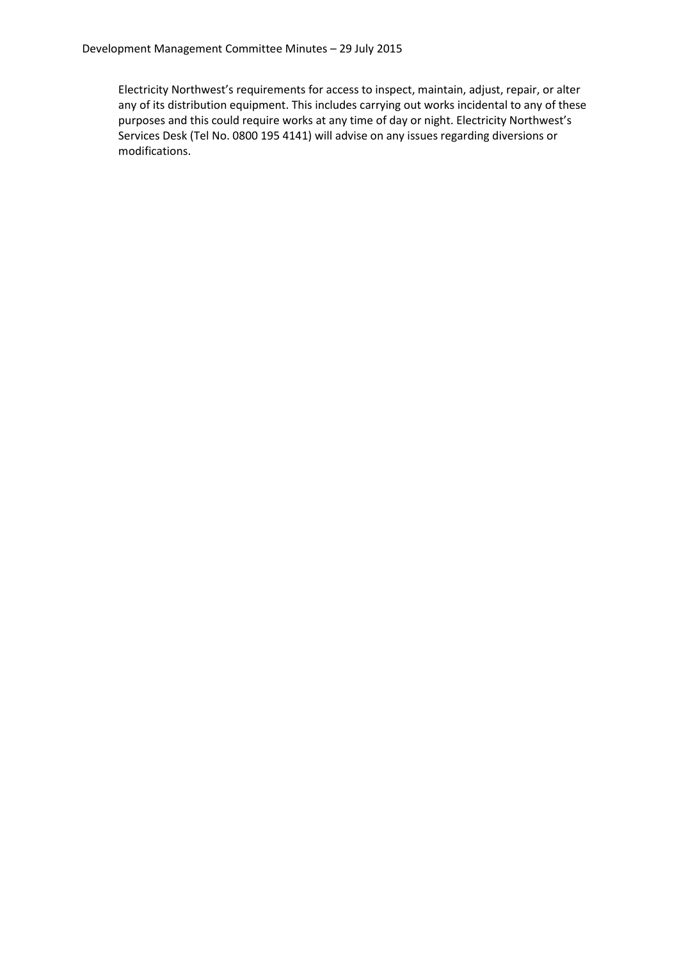Electricity Northwest's requirements for access to inspect, maintain, adjust, repair, or alter any of its distribution equipment. This includes carrying out works incidental to any of these purposes and this could require works at any time of day or night. Electricity Northwest's Services Desk (Tel No. 0800 195 4141) will advise on any issues regarding diversions or modifications.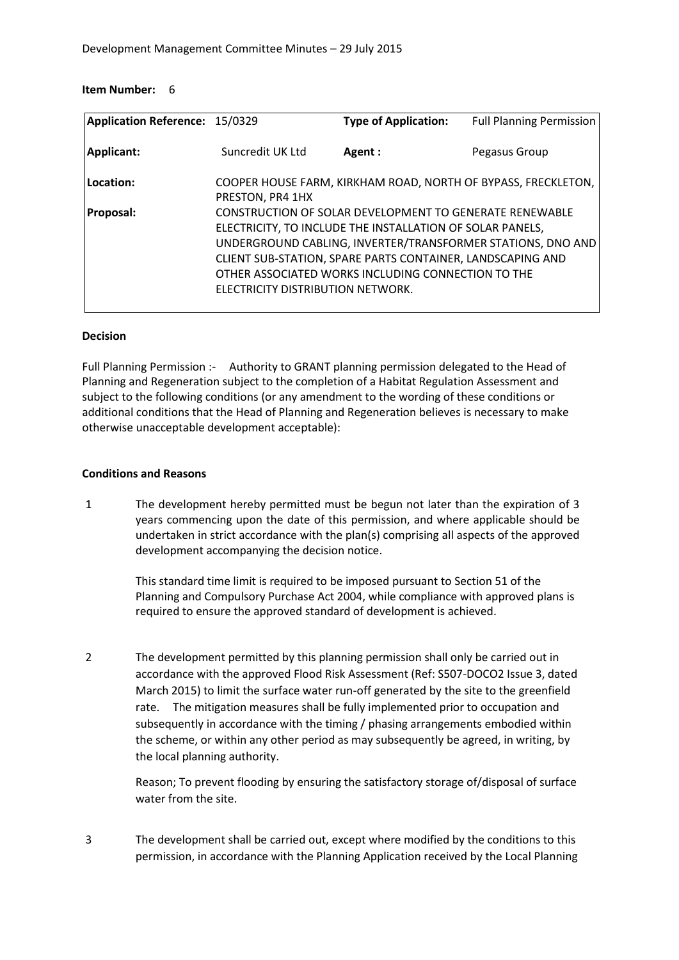#### **Item Number:** 6

| Application Reference: 15/0329 |                                   | <b>Type of Application:</b>                                                                                                                                                                                                              | <b>Full Planning Permission</b>                               |
|--------------------------------|-----------------------------------|------------------------------------------------------------------------------------------------------------------------------------------------------------------------------------------------------------------------------------------|---------------------------------------------------------------|
| Applicant:                     | Suncredit UK Ltd                  | Agent:                                                                                                                                                                                                                                   | Pegasus Group                                                 |
| Location:                      | PRESTON, PR4 1HX                  |                                                                                                                                                                                                                                          | COOPER HOUSE FARM, KIRKHAM ROAD, NORTH OF BYPASS, FRECKLETON, |
| <b>Proposal:</b>               | ELECTRICITY DISTRIBUTION NETWORK. | CONSTRUCTION OF SOLAR DEVELOPMENT TO GENERATE RENEWABLE<br>ELECTRICITY, TO INCLUDE THE INSTALLATION OF SOLAR PANELS,<br>CLIENT SUB-STATION, SPARE PARTS CONTAINER, LANDSCAPING AND<br>OTHER ASSOCIATED WORKS INCLUDING CONNECTION TO THE | UNDERGROUND CABLING, INVERTER/TRANSFORMER STATIONS, DNO AND   |

#### **Decision**

Full Planning Permission :-Authority to GRANT planning permission delegated to the Head of Planning and Regeneration subject to the completion of a Habitat Regulation Assessment and subject to the following conditions (or any amendment to the wording of these conditions or additional conditions that the Head of Planning and Regeneration believes is necessary to make otherwise unacceptable development acceptable):

#### **Conditions and Reasons**

1 The development hereby permitted must be begun not later than the expiration of 3 years commencing upon the date of this permission, and where applicable should be undertaken in strict accordance with the plan(s) comprising all aspects of the approved development accompanying the decision notice.

> This standard time limit is required to be imposed pursuant to Section 51 of the Planning and Compulsory Purchase Act 2004, while compliance with approved plans is required to ensure the approved standard of development is achieved.

2 The development permitted by this planning permission shall only be carried out in accordance with the approved Flood Risk Assessment (Ref: S507-DOCO2 Issue 3, dated March 2015) to limit the surface water run-off generated by the site to the greenfield rate. The mitigation measures shall be fully implemented prior to occupation and subsequently in accordance with the timing / phasing arrangements embodied within the scheme, or within any other period as may subsequently be agreed, in writing, by the local planning authority.

Reason; To prevent flooding by ensuring the satisfactory storage of/disposal of surface water from the site.

3 The development shall be carried out, except where modified by the conditions to this permission, in accordance with the Planning Application received by the Local Planning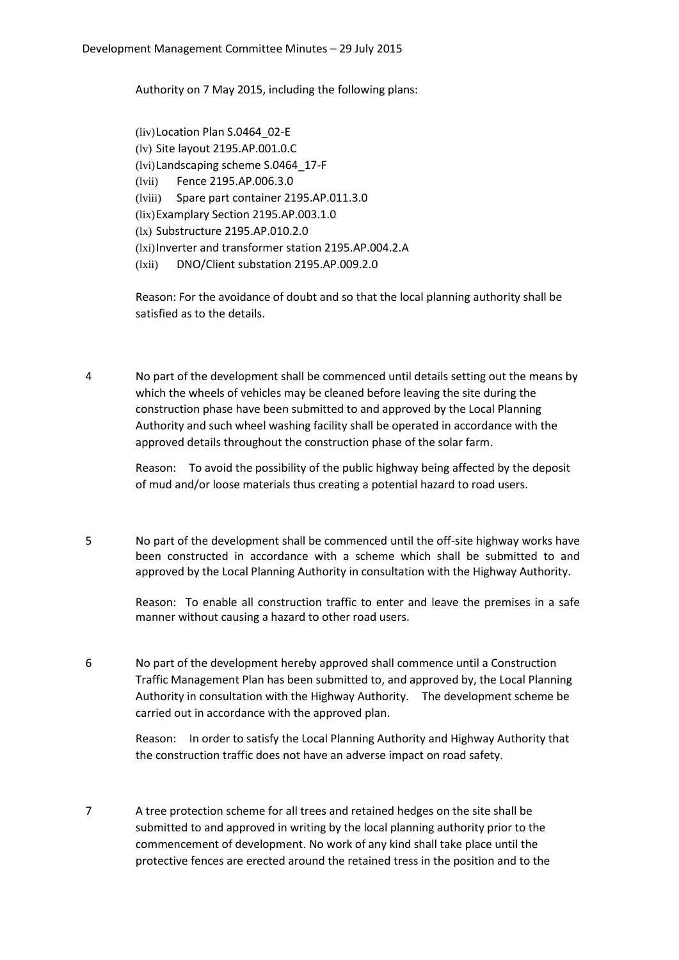Authority on 7 May 2015, including the following plans:

(liv)Location Plan S.0464\_02-E (lv) Site layout 2195.AP.001.0.C (lvi)Landscaping scheme S.0464\_17-F (lvii) Fence 2195.AP.006.3.0 (lviii) Spare part container 2195.AP.011.3.0 (lix)Examplary Section 2195.AP.003.1.0 (lx) Substructure 2195.AP.010.2.0 (lxi)Inverter and transformer station 2195.AP.004.2.A (lxii) DNO/Client substation 2195.AP.009.2.0

Reason: For the avoidance of doubt and so that the local planning authority shall be satisfied as to the details.

4 No part of the development shall be commenced until details setting out the means by which the wheels of vehicles may be cleaned before leaving the site during the construction phase have been submitted to and approved by the Local Planning Authority and such wheel washing facility shall be operated in accordance with the approved details throughout the construction phase of the solar farm.

Reason: To avoid the possibility of the public highway being affected by the deposit of mud and/or loose materials thus creating a potential hazard to road users.

5 No part of the development shall be commenced until the off-site highway works have been constructed in accordance with a scheme which shall be submitted to and approved by the Local Planning Authority in consultation with the Highway Authority.

> Reason: To enable all construction traffic to enter and leave the premises in a safe manner without causing a hazard to other road users.

6 No part of the development hereby approved shall commence until a Construction Traffic Management Plan has been submitted to, and approved by, the Local Planning Authority in consultation with the Highway Authority. The development scheme be carried out in accordance with the approved plan.

> Reason: In order to satisfy the Local Planning Authority and Highway Authority that the construction traffic does not have an adverse impact on road safety.

7 A tree protection scheme for all trees and retained hedges on the site shall be submitted to and approved in writing by the local planning authority prior to the commencement of development. No work of any kind shall take place until the protective fences are erected around the retained tress in the position and to the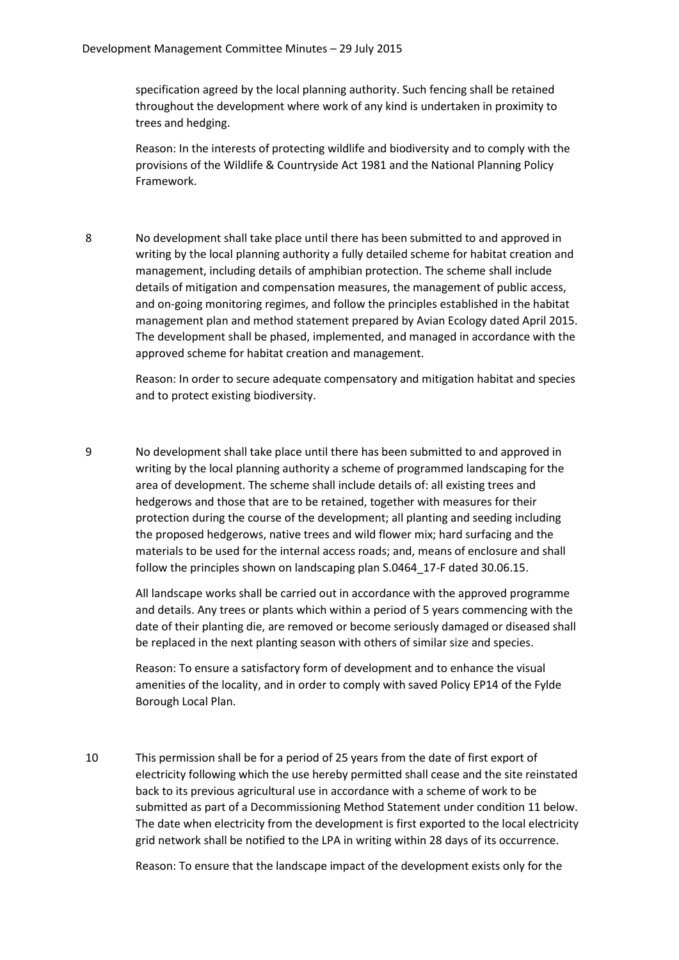specification agreed by the local planning authority. Such fencing shall be retained throughout the development where work of any kind is undertaken in proximity to trees and hedging.

Reason: In the interests of protecting wildlife and biodiversity and to comply with the provisions of the Wildlife & Countryside Act 1981 and the National Planning Policy Framework.

8 No development shall take place until there has been submitted to and approved in writing by the local planning authority a fully detailed scheme for habitat creation and management, including details of amphibian protection. The scheme shall include details of mitigation and compensation measures, the management of public access, and on-going monitoring regimes, and follow the principles established in the habitat management plan and method statement prepared by Avian Ecology dated April 2015. The development shall be phased, implemented, and managed in accordance with the approved scheme for habitat creation and management.

> Reason: In order to secure adequate compensatory and mitigation habitat and species and to protect existing biodiversity.

9 No development shall take place until there has been submitted to and approved in writing by the local planning authority a scheme of programmed landscaping for the area of development. The scheme shall include details of: all existing trees and hedgerows and those that are to be retained, together with measures for their protection during the course of the development; all planting and seeding including the proposed hedgerows, native trees and wild flower mix; hard surfacing and the materials to be used for the internal access roads; and, means of enclosure and shall follow the principles shown on landscaping plan S.0464\_17-F dated 30.06.15.

> All landscape works shall be carried out in accordance with the approved programme and details. Any trees or plants which within a period of 5 years commencing with the date of their planting die, are removed or become seriously damaged or diseased shall be replaced in the next planting season with others of similar size and species.

Reason: To ensure a satisfactory form of development and to enhance the visual amenities of the locality, and in order to comply with saved Policy EP14 of the Fylde Borough Local Plan.

10 This permission shall be for a period of 25 years from the date of first export of electricity following which the use hereby permitted shall cease and the site reinstated back to its previous agricultural use in accordance with a scheme of work to be submitted as part of a Decommissioning Method Statement under condition 11 below. The date when electricity from the development is first exported to the local electricity grid network shall be notified to the LPA in writing within 28 days of its occurrence.

Reason: To ensure that the landscape impact of the development exists only for the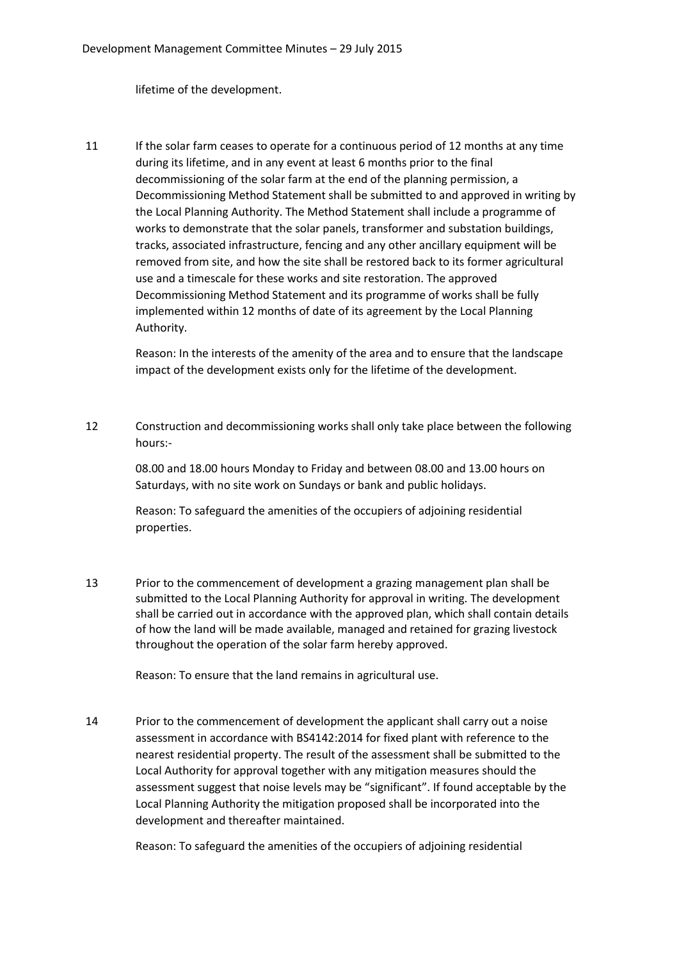lifetime of the development.

11 If the solar farm ceases to operate for a continuous period of 12 months at any time during its lifetime, and in any event at least 6 months prior to the final decommissioning of the solar farm at the end of the planning permission, a Decommissioning Method Statement shall be submitted to and approved in writing by the Local Planning Authority. The Method Statement shall include a programme of works to demonstrate that the solar panels, transformer and substation buildings, tracks, associated infrastructure, fencing and any other ancillary equipment will be removed from site, and how the site shall be restored back to its former agricultural use and a timescale for these works and site restoration. The approved Decommissioning Method Statement and its programme of works shall be fully implemented within 12 months of date of its agreement by the Local Planning Authority.

> Reason: In the interests of the amenity of the area and to ensure that the landscape impact of the development exists only for the lifetime of the development.

12 Construction and decommissioning works shall only take place between the following hours:-

08.00 and 18.00 hours Monday to Friday and between 08.00 and 13.00 hours on Saturdays, with no site work on Sundays or bank and public holidays.

Reason: To safeguard the amenities of the occupiers of adjoining residential properties.

13 Prior to the commencement of development a grazing management plan shall be submitted to the Local Planning Authority for approval in writing. The development shall be carried out in accordance with the approved plan, which shall contain details of how the land will be made available, managed and retained for grazing livestock throughout the operation of the solar farm hereby approved.

Reason: To ensure that the land remains in agricultural use.

14 Prior to the commencement of development the applicant shall carry out a noise assessment in accordance with BS4142:2014 for fixed plant with reference to the nearest residential property. The result of the assessment shall be submitted to the Local Authority for approval together with any mitigation measures should the assessment suggest that noise levels may be "significant". If found acceptable by the Local Planning Authority the mitigation proposed shall be incorporated into the development and thereafter maintained.

Reason: To safeguard the amenities of the occupiers of adjoining residential